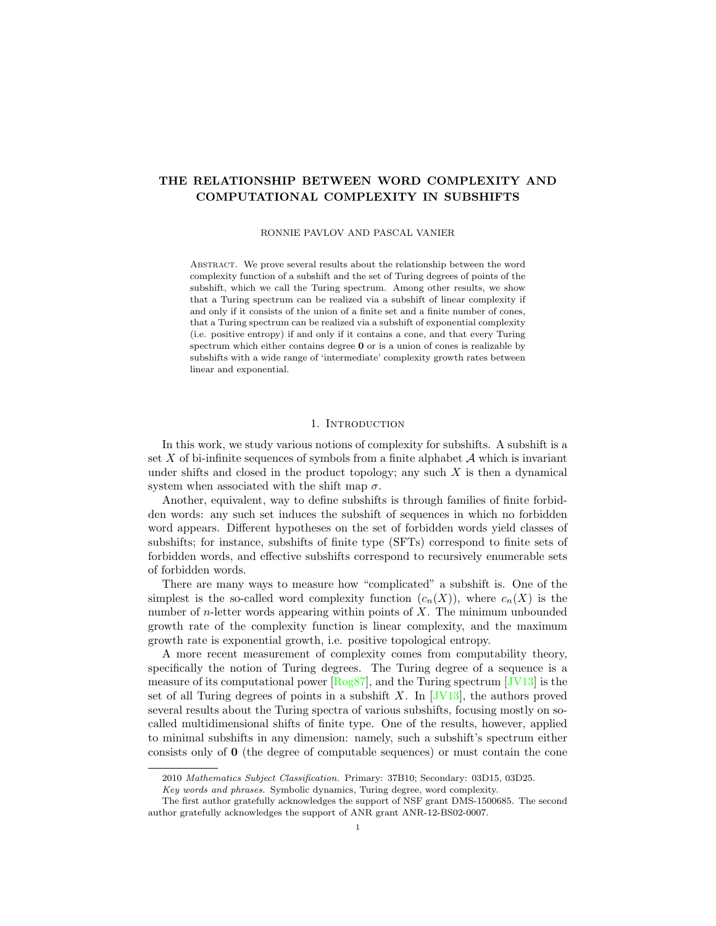# THE RELATIONSHIP BETWEEN WORD COMPLEXITY AND COMPUTATIONAL COMPLEXITY IN SUBSHIFTS

RONNIE PAVLOV AND PASCAL VANIER

ABSTRACT. We prove several results about the relationship between the word complexity function of a subshift and the set of Turing degrees of points of the subshift, which we call the Turing spectrum. Among other results, we show that a Turing spectrum can be realized via a subshift of linear complexity if and only if it consists of the union of a finite set and a finite number of cones, that a Turing spectrum can be realized via a subshift of exponential complexity (i.e. positive entropy) if and only if it contains a cone, and that every Turing spectrum which either contains degree 0 or is a union of cones is realizable by subshifts with a wide range of 'intermediate' complexity growth rates between linear and exponential.

## 1. INTRODUCTION

In this work, we study various notions of complexity for subshifts. A subshift is a set X of bi-infinite sequences of symbols from a finite alphabet  $A$  which is invariant under shifts and closed in the product topology; any such  $X$  is then a dynamical system when associated with the shift map  $\sigma$ .

Another, equivalent, way to define subshifts is through families of finite forbidden words: any such set induces the subshift of sequences in which no forbidden word appears. Different hypotheses on the set of forbidden words yield classes of subshifts; for instance, subshifts of finite type (SFTs) correspond to finite sets of forbidden words, and effective subshifts correspond to recursively enumerable sets of forbidden words.

There are many ways to measure how "complicated" a subshift is. One of the simplest is the so-called word complexity function  $(c_n(X))$ , where  $c_n(X)$  is the number of  $n$ -letter words appearing within points of  $X$ . The minimum unbounded growth rate of the complexity function is linear complexity, and the maximum growth rate is exponential growth, i.e. positive topological entropy.

A more recent measurement of complexity comes from computability theory, specifically the notion of Turing degrees. The Turing degree of a sequence is a measure of its computational power [\[Rog87\]](#page-21-0), and the Turing spectrum [\[JV13\]](#page-21-1) is the set of all Turing degrees of points in a subshift X. In  $[JV13]$ , the authors proved several results about the Turing spectra of various subshifts, focusing mostly on socalled multidimensional shifts of finite type. One of the results, however, applied to minimal subshifts in any dimension: namely, such a subshift's spectrum either consists only of 0 (the degree of computable sequences) or must contain the cone

<sup>2010</sup> Mathematics Subject Classification. Primary: 37B10; Secondary: 03D15, 03D25.

Key words and phrases. Symbolic dynamics, Turing degree, word complexity.

The first author gratefully acknowledges the support of NSF grant DMS-1500685. The second author gratefully acknowledges the support of ANR grant ANR-12-BS02-0007.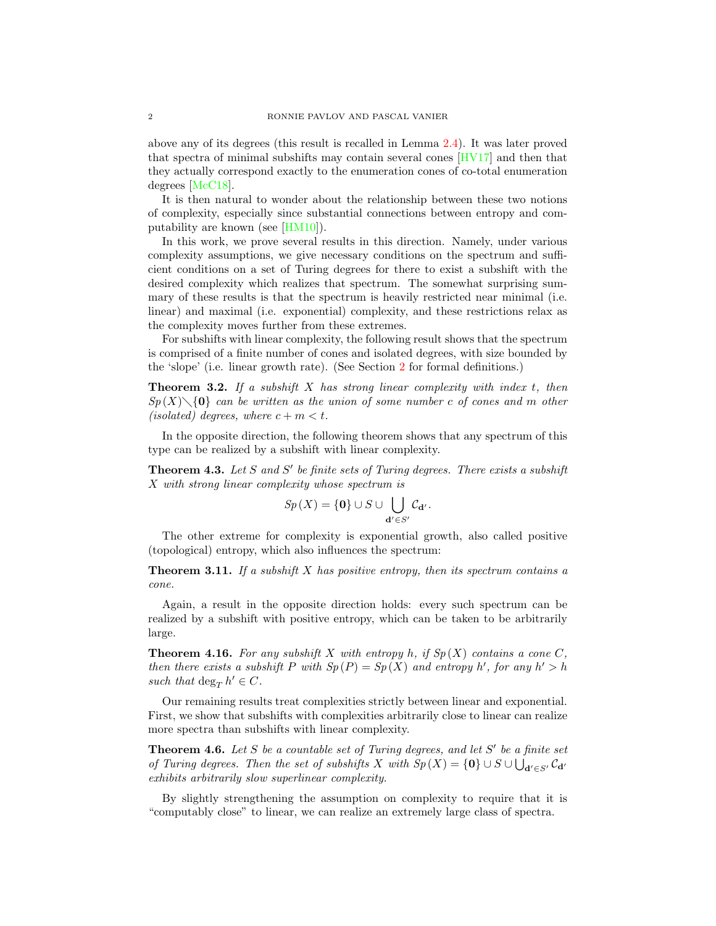above any of its degrees (this result is recalled in Lemma [2.4\)](#page-5-0). It was later proved that spectra of minimal subshifts may contain several cones [\[HV17\]](#page-21-2) and then that they actually correspond exactly to the enumeration cones of co-total enumeration degrees [\[McC18\]](#page-21-3).

It is then natural to wonder about the relationship between these two notions of complexity, especially since substantial connections between entropy and computability are known (see [\[HM10\]](#page-21-4)).

In this work, we prove several results in this direction. Namely, under various complexity assumptions, we give necessary conditions on the spectrum and sufficient conditions on a set of Turing degrees for there to exist a subshift with the desired complexity which realizes that spectrum. The somewhat surprising summary of these results is that the spectrum is heavily restricted near minimal (i.e. linear) and maximal (i.e. exponential) complexity, and these restrictions relax as the complexity moves further from these extremes.

For subshifts with linear complexity, the following result shows that the spectrum is comprised of a finite number of cones and isolated degrees, with size bounded by the 'slope' (i.e. linear growth rate). (See Section [2](#page-3-0) for formal definitions.)

**Theorem 3.2.** If a subshift  $X$  has strong linear complexity with index  $t$ , then  $Sp(X)\setminus\{0\}$  can be written as the union of some number c of cones and m other (isolated) degrees, where  $c + m < t$ .

In the opposite direction, the following theorem shows that any spectrum of this type can be realized by a subshift with linear complexity.

**Theorem 4.3.** Let S and S' be finite sets of Turing degrees. There exists a subshift X with strong linear complexity whose spectrum is

$$
Sp(X) = \{0\} \cup S \cup \bigcup_{\mathbf{d}' \in S'} \mathcal{C}_{\mathbf{d}'}.
$$

The other extreme for complexity is exponential growth, also called positive (topological) entropy, which also influences the spectrum:

**Theorem 3.11.** If a subshift X has positive entropy, then its spectrum contains a cone.

Again, a result in the opposite direction holds: every such spectrum can be realized by a subshift with positive entropy, which can be taken to be arbitrarily large.

**Theorem 4.16.** For any subshift X with entropy h, if  $Sp(X)$  contains a cone C, then there exists a subshift P with  $Sp(P) = Sp(X)$  and entropy h', for any  $h' > h$ such that  $\deg_T h' \in C$ .

Our remaining results treat complexities strictly between linear and exponential. First, we show that subshifts with complexities arbitrarily close to linear can realize more spectra than subshifts with linear complexity.

**Theorem 4.6.** Let S be a countable set of Turing degrees, and let  $S'$  be a finite set of Turing degrees. Then the set of subshifts X with  $Sp(X) = \{0\} \cup S \cup \bigcup_{d' \in S'} C_{d'}$ exhibits arbitrarily slow superlinear complexity.

By slightly strengthening the assumption on complexity to require that it is "computably close" to linear, we can realize an extremely large class of spectra.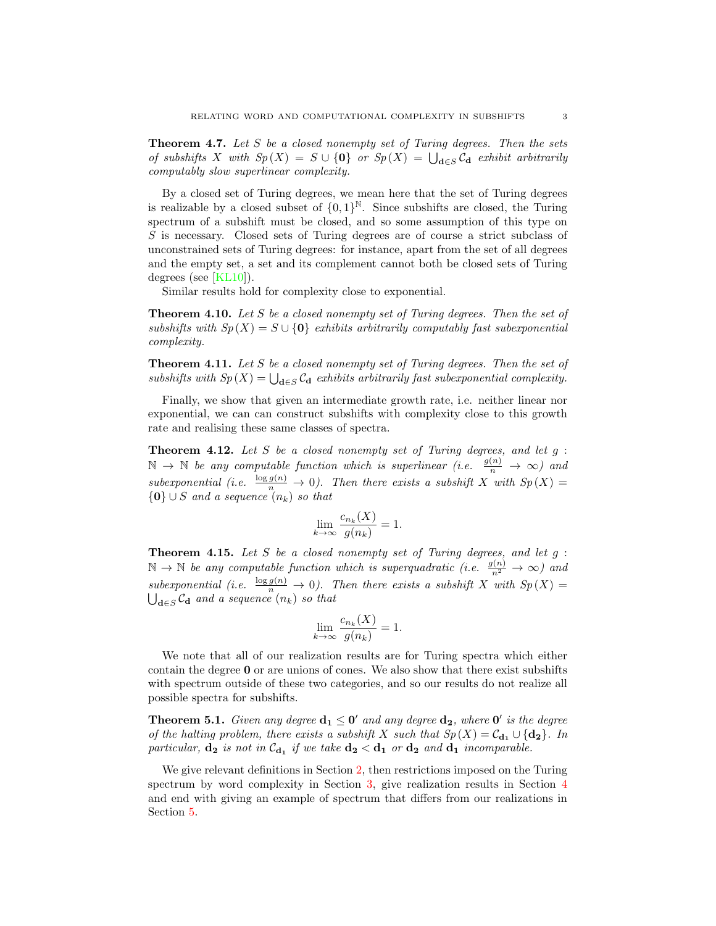**Theorem 4.7.** Let S be a closed nonempty set of Turing degrees. Then the sets of subshifts X with  $Sp(X) = S \cup \{0\}$  or  $Sp(X) = \bigcup_{\mathbf{d} \in S} C_{\mathbf{d}}$  exhibit arbitrarily computably slow superlinear complexity.

By a closed set of Turing degrees, we mean here that the set of Turing degrees is realizable by a closed subset of  $\{0,1\}^{\mathbb{N}}$ . Since subshifts are closed, the Turing spectrum of a subshift must be closed, and so some assumption of this type on S is necessary. Closed sets of Turing degrees are of course a strict subclass of unconstrained sets of Turing degrees: for instance, apart from the set of all degrees and the empty set, a set and its complement cannot both be closed sets of Turing degrees (see [\[KL10\]](#page-21-5)).

Similar results hold for complexity close to exponential.

**Theorem 4.10.** Let S be a closed nonempty set of Turing degrees. Then the set of subshifts with  $Sp(X) = S \cup \{0\}$  exhibits arbitrarily computably fast subexponential complexity.

**Theorem 4.11.** Let S be a closed nonempty set of Turing degrees. Then the set of subshifts with  $Sp(X) = \bigcup_{\mathbf{d}\in S} C_{\mathbf{d}}$  exhibits arbitrarily fast subexponential complexity.

Finally, we show that given an intermediate growth rate, i.e. neither linear nor exponential, we can can construct subshifts with complexity close to this growth rate and realising these same classes of spectra.

**Theorem 4.12.** Let S be a closed nonempty set of Turing degrees, and let  $g$ :  $\mathbb{N} \to \mathbb{N}$  be any computable function which is superlinear (i.e.  $\frac{g(n)}{n} \to \infty$ ) and subexponential (i.e.  $\frac{\log g(n)}{n} \to 0$ ). Then there exists a subshift X with  $Sp(X) =$  ${0} \cup S$  and a sequence  $(n_k)$  so that

$$
\lim_{k \to \infty} \frac{c_{n_k}(X)}{g(n_k)} = 1.
$$

**Theorem 4.15.** Let S be a closed nonempty set of Turing degrees, and let  $g$ :  $\mathbb{N} \to \mathbb{N}$  be any computable function which is superquadratic (i.e.  $\frac{g(n)}{n^2} \to \infty$ ) and subexponential (i.e.  $\frac{\log g(n)}{n} \to 0$ ). Then there exists a subshift X with  $Sp(X) =$  $\bigcup_{\mathbf{d}\in S}\mathcal{C}_{\mathbf{d}}$  and a sequence  $(n_k)$  so that

$$
\lim_{k \to \infty} \frac{c_{n_k}(X)}{g(n_k)} = 1.
$$

We note that all of our realization results are for Turing spectra which either contain the degree 0 or are unions of cones. We also show that there exist subshifts with spectrum outside of these two categories, and so our results do not realize all possible spectra for subshifts.

**Theorem 5.1.** Given any degree  $d_1 \leq 0'$  and any degree  $d_2$ , where  $0'$  is the degree of the halting problem, there exists a subshift X such that  $Sp(X) = C_{d_1} \cup \{d_2\}$ . In particular,  $\mathbf{d_2}$  is not in  $\mathcal{C}_{\mathbf{d_1}}$  if we take  $\mathbf{d_2} < \mathbf{d_1}$  or  $\mathbf{d_2}$  and  $\mathbf{d_1}$  incomparable.

We give relevant definitions in Section [2,](#page-3-0) then restrictions imposed on the Turing spectrum by word complexity in Section [3,](#page-6-0) give realization results in Section [4](#page-11-0) and end with giving an example of spectrum that differs from our realizations in Section [5.](#page-20-0)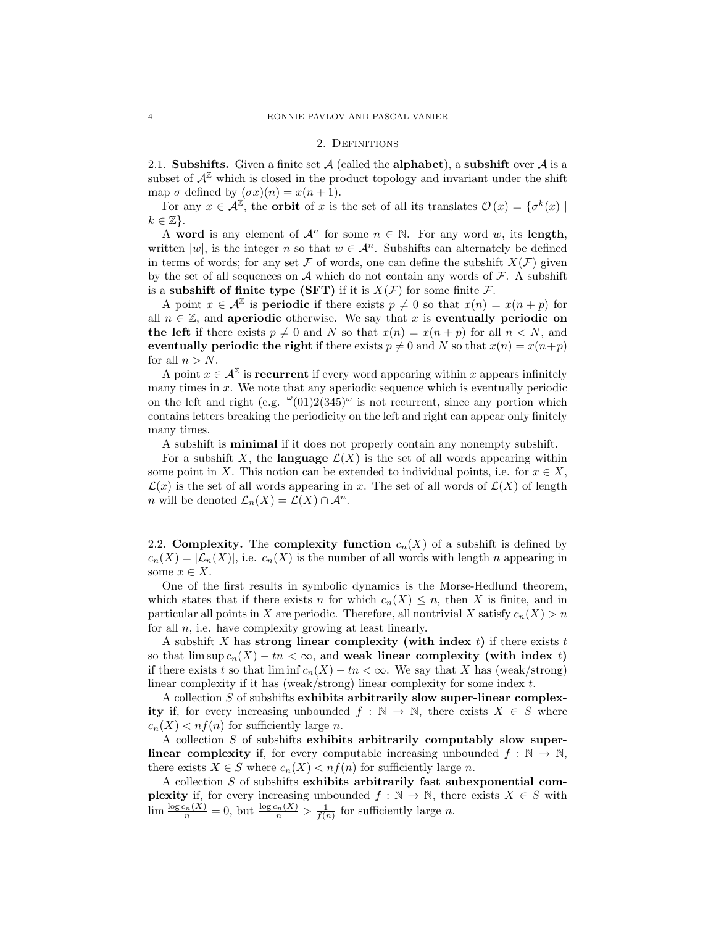### 2. DEFINITIONS

<span id="page-3-0"></span>2.1. Subshifts. Given a finite set  $\mathcal A$  (called the alphabet), a subshift over  $\mathcal A$  is a subset of  $A^{\mathbb{Z}}$  which is closed in the product topology and invariant under the shift map  $\sigma$  defined by  $(\sigma x)(n) = x(n + 1)$ .

For any  $x \in \mathcal{A}^{\mathbb{Z}}$ , the **orbit** of x is the set of all its translates  $\mathcal{O}(x) = \{ \sigma^k(x) \mid$  $k \in \mathbb{Z}$ .

A word is any element of  $\mathcal{A}^n$  for some  $n \in \mathbb{N}$ . For any word w, its length, written |w|, is the integer n so that  $w \in \mathcal{A}^n$ . Subshifts can alternately be defined in terms of words; for any set F of words, one can define the subshift  $X(\mathcal{F})$  given by the set of all sequences on  $A$  which do not contain any words of  $F$ . A subshift is a subshift of finite type (SFT) if it is  $X(\mathcal{F})$  for some finite  $\mathcal{F}$ .

A point  $x \in \mathcal{A}^{\mathbb{Z}}$  is **periodic** if there exists  $p \neq 0$  so that  $x(n) = x(n+p)$  for all  $n \in \mathbb{Z}$ , and aperiodic otherwise. We say that x is eventually periodic on the left if there exists  $p \neq 0$  and N so that  $x(n) = x(n + p)$  for all  $n < N$ , and eventually periodic the right if there exists  $p \neq 0$  and N so that  $x(n) = x(n+p)$ for all  $n > N$ .

A point  $x \in \mathcal{A}^{\mathbb{Z}}$  is **recurrent** if every word appearing within x appears infinitely many times in x. We note that any aperiodic sequence which is eventually periodic on the left and right (e.g.  $\omega(01)2(345)\omega$  is not recurrent, since any portion which contains letters breaking the periodicity on the left and right can appear only finitely many times.

A subshift is minimal if it does not properly contain any nonempty subshift.

For a subshift X, the language  $\mathcal{L}(X)$  is the set of all words appearing within some point in X. This notion can be extended to individual points, i.e. for  $x \in X$ ,  $\mathcal{L}(x)$  is the set of all words appearing in x. The set of all words of  $\mathcal{L}(X)$  of length n will be denoted  $\mathcal{L}_n(X) = \mathcal{L}(X) \cap \mathcal{A}^n$ .

2.2. Complexity. The complexity function  $c_n(X)$  of a subshift is defined by  $c_n(X) = |\mathcal{L}_n(X)|$ , i.e.  $c_n(X)$  is the number of all words with length n appearing in some  $x \in X$ .

One of the first results in symbolic dynamics is the Morse-Hedlund theorem, which states that if there exists n for which  $c_n(X) \leq n$ , then X is finite, and in particular all points in X are periodic. Therefore, all nontrivial X satisfy  $c_n(X) > n$ for all  $n$ , i.e. have complexity growing at least linearly.

A subshift X has strong linear complexity (with index t) if there exists t so that  $\limsup c_n(X) - tn < \infty$ , and weak linear complexity (with index t) if there exists t so that  $\liminf c_n(X) - \text{tr} < \infty$ . We say that X has (weak/strong) linear complexity if it has (weak/strong) linear complexity for some index t.

A collection S of subshifts exhibits arbitrarily slow super-linear complexity if, for every increasing unbounded  $f : \mathbb{N} \to \mathbb{N}$ , there exists  $X \in S$  where  $c_n(X) < nf(n)$  for sufficiently large *n*.

A collection S of subshifts exhibits arbitrarily computably slow super**linear complexity** if, for every computable increasing unbounded  $f : \mathbb{N} \to \mathbb{N}$ , there exists  $X \in S$  where  $c_n(X) < nf(n)$  for sufficiently large n.

A collection S of subshifts exhibits arbitrarily fast subexponential com**plexity** if, for every increasing unbounded  $f : \mathbb{N} \to \mathbb{N}$ , there exists  $X \in S$  with  $\lim_{n} \frac{\log c_n(X)}{n} = 0$ , but  $\frac{\log c_n(X)}{n} > \frac{1}{f(n)}$  for sufficiently large *n*.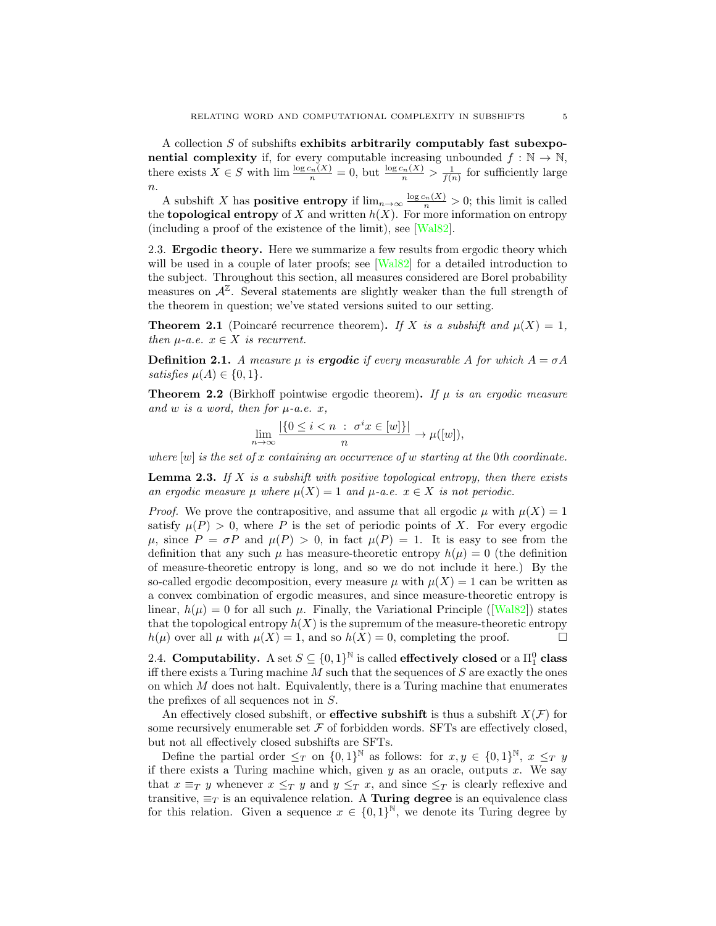A collection S of subshifts exhibits arbitrarily computably fast subexpo**nential complexity** if, for every computable increasing unbounded  $f : \mathbb{N} \to \mathbb{N}$ , there exists  $X \in S$  with  $\lim_{n \to \infty} \frac{\log c_n(X)}{n} = 0$ , but  $\frac{\log c_n(X)}{n} > \frac{1}{f(n)}$  for sufficiently large  $\overline{n}$ .

A subshift X has **positive entropy** if  $\lim_{n\to\infty} \frac{\log c_n(X)}{n} > 0$ ; this limit is called the **topological entropy** of X and written  $h(X)$ . For more information on entropy (including a proof of the existence of the limit), see [\[Wal82\]](#page-21-6).

2.3. Ergodic theory. Here we summarize a few results from ergodic theory which will be used in a couple of later proofs; see [\[Wal82\]](#page-21-6) for a detailed introduction to the subject. Throughout this section, all measures considered are Borel probability measures on  $\mathcal{A}^{\mathbb{Z}}$ . Several statements are slightly weaker than the full strength of the theorem in question; we've stated versions suited to our setting.

<span id="page-4-0"></span>**Theorem 2.1** (Poincaré recurrence theorem). If X is a subshift and  $\mu(X) = 1$ , then  $\mu$ -a.e.  $x \in X$  is recurrent.

**Definition 2.1.** A measure  $\mu$  is **ergodic** if every measurable A for which  $A = \sigma A$ satisfies  $\mu(A) \in \{0, 1\}.$ 

<span id="page-4-2"></span>**Theorem 2.2** (Birkhoff pointwise ergodic theorem). If  $\mu$  is an ergodic measure and w is a word, then for  $\mu$ -a.e. x,

$$
\lim_{n \to \infty} \frac{|\{0 \le i < n \; : \; \sigma^i x \in [w]\}|}{n} \to \mu([w]),
$$

where  $[w]$  is the set of x containing an occurrence of w starting at the 0th coordinate.

<span id="page-4-1"></span>**Lemma 2.3.** If X is a subshift with positive topological entropy, then there exists an ergodic measure  $\mu$  where  $\mu(X) = 1$  and  $\mu$ -a.e.  $x \in X$  is not periodic.

*Proof.* We prove the contrapositive, and assume that all ergodic  $\mu$  with  $\mu(X) = 1$ satisfy  $\mu(P) > 0$ , where P is the set of periodic points of X. For every ergodic  $\mu$ , since  $P = \sigma P$  and  $\mu(P) > 0$ , in fact  $\mu(P) = 1$ . It is easy to see from the definition that any such  $\mu$  has measure-theoretic entropy  $h(\mu) = 0$  (the definition of measure-theoretic entropy is long, and so we do not include it here.) By the so-called ergodic decomposition, every measure  $\mu$  with  $\mu(X) = 1$  can be written as a convex combination of ergodic measures, and since measure-theoretic entropy is linear,  $h(\mu) = 0$  for all such  $\mu$ . Finally, the Variational Principle ([\[Wal82\]](#page-21-6)) states that the topological entropy  $h(X)$  is the supremum of the measure-theoretic entropy  $h(\mu)$  over all  $\mu$  with  $\mu(X) = 1$ , and so  $h(X) = 0$ , completing the proof.

2.4. Computability. A set  $S \subseteq \{0,1\}^{\mathbb{N}}$  is called effectively closed or a  $\Pi_1^0$  class iff there exists a Turing machine  $M$  such that the sequences of  $S$  are exactly the ones on which  $M$  does not halt. Equivalently, there is a Turing machine that enumerates the prefixes of all sequences not in S.

An effectively closed subshift, or **effective subshift** is thus a subshift  $X(\mathcal{F})$  for some recursively enumerable set  $\mathcal F$  of forbidden words. SFTs are effectively closed, but not all effectively closed subshifts are SFTs.

Define the partial order  $\leq_T$  on  $\{0,1\}^{\mathbb{N}}$  as follows: for  $x, y \in \{0,1\}^{\mathbb{N}}, x \leq_T y$ if there exists a Turing machine which, given  $y$  as an oracle, outputs  $x$ . We say that  $x \equiv_T y$  whenever  $x \leq_T y$  and  $y \leq_T x$ , and since  $\leq_T$  is clearly reflexive and transitive,  $\equiv_T$  is an equivalence relation. A **Turing degree** is an equivalence class for this relation. Given a sequence  $x \in \{0,1\}^{\mathbb{N}}$ , we denote its Turing degree by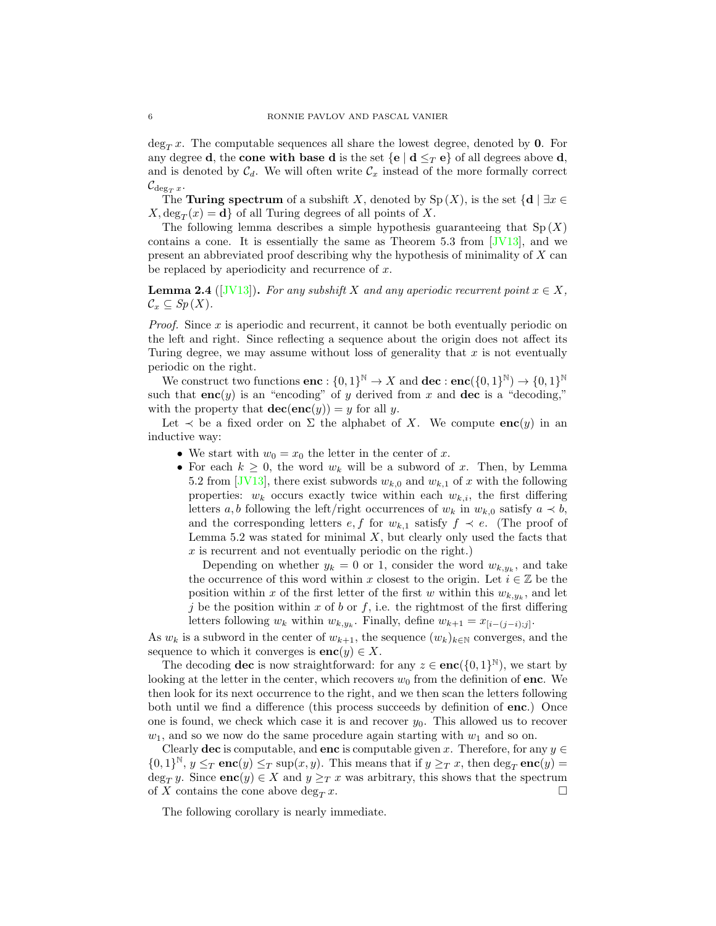$\deg_T x$ . The computable sequences all share the lowest degree, denoted by **0**. For any degree **d**, the **cone with base d** is the set  $\{e \mid d \leq_T e\}$  of all degrees above **d**, and is denoted by  $C_d$ . We will often write  $C_x$  instead of the more formally correct  $\mathcal{C}_{\deg_T x}.$ 

The **Turing spectrum** of a subshift X, denoted by  $Sp(X)$ , is the set  $\{d \mid \exists x \in \mathbb{R}$  $X, \deg_T(x) = \mathbf{d}$  of all Turing degrees of all points of X.

The following lemma describes a simple hypothesis guaranteeing that  $Sp(X)$ contains a cone. It is essentially the same as Theorem 5.3 from  $JV13$ , and we present an abbreviated proof describing why the hypothesis of minimality of X can be replaced by aperiodicity and recurrence of  $x$ .

<span id="page-5-0"></span>**Lemma 2.4** ([\[JV13\]](#page-21-1)). For any subshift X and any aperiodic recurrent point  $x \in X$ ,  $\mathcal{C}_x \subseteq Sp(X).$ 

*Proof.* Since  $x$  is aperiodic and recurrent, it cannot be both eventually periodic on the left and right. Since reflecting a sequence about the origin does not affect its Turing degree, we may assume without loss of generality that  $x$  is not eventually periodic on the right.

We construct two functions  $\mathbf{enc} : \{0,1\}^{\mathbb{N}} \to X$  and  $\mathbf{dec} : \mathbf{enc}(\{0,1\}^{\mathbb{N}}) \to \{0,1\}^{\mathbb{N}}$ such that  $enc(y)$  is an "encoding" of y derived from x and dec is a "decoding," with the property that  $\mathbf{dec}(\mathbf{enc}(y)) = y$  for all y.

Let  $\prec$  be a fixed order on  $\Sigma$  the alphabet of X. We compute  $enc(y)$  in an inductive way:

- We start with  $w_0 = x_0$  the letter in the center of x.
- For each  $k \geq 0$ , the word  $w_k$  will be a subword of x. Then, by Lemma 5.2 from [\[JV13\]](#page-21-1), there exist subwords  $w_{k,0}$  and  $w_{k,1}$  of x with the following properties:  $w_k$  occurs exactly twice within each  $w_{k,i}$ , the first differing letters a, b following the left/right occurrences of  $w_k$  in  $w_{k,0}$  satisfy  $a \prec b$ , and the corresponding letters  $e, f$  for  $w_{k,1}$  satisfy  $f \prec e$ . (The proof of Lemma 5.2 was stated for minimal  $X$ , but clearly only used the facts that  $x$  is recurrent and not eventually periodic on the right.)

Depending on whether  $y_k = 0$  or 1, consider the word  $w_{k,y_k}$ , and take the occurrence of this word within x closest to the origin. Let  $i \in \mathbb{Z}$  be the position within x of the first letter of the first w within this  $w_{k,y_k}$ , and let j be the position within x of b or f, i.e. the rightmost of the first differing letters following  $w_k$  within  $w_{k,y_k}$ . Finally, define  $w_{k+1} = x_{[i-(j-i);j]}$ .

As  $w_k$  is a subword in the center of  $w_{k+1}$ , the sequence  $(w_k)_{k\in\mathbb{N}}$  converges, and the sequence to which it converges is  $enc(y) \in X$ .

The decoding **dec** is now straightforward: for any  $z \in \mathbf{enc}(\{0,1\}^{\mathbb{N}})$ , we start by looking at the letter in the center, which recovers  $w_0$  from the definition of enc. We then look for its next occurrence to the right, and we then scan the letters following both until we find a difference (this process succeeds by definition of enc.) Once one is found, we check which case it is and recover  $y_0$ . This allowed us to recover  $w_1$ , and so we now do the same procedure again starting with  $w_1$  and so on.

Clearly **dec** is computable, and **enc** is computable given x. Therefore, for any  $y \in$  ${0,1}^{\mathbb{N}}, y \leq_T \mathbf{enc}(y) \leq_T \sup(x, y)$ . This means that if  $y \geq_T x$ , then  $\deg_T \mathbf{enc}(y) =$ deg<sub>T</sub> y. Since **enc**(y)  $\in$  X and  $y \geq_T x$  was arbitrary, this shows that the spectrum of X contains the cone above  $\deg_T x$ .

The following corollary is nearly immediate.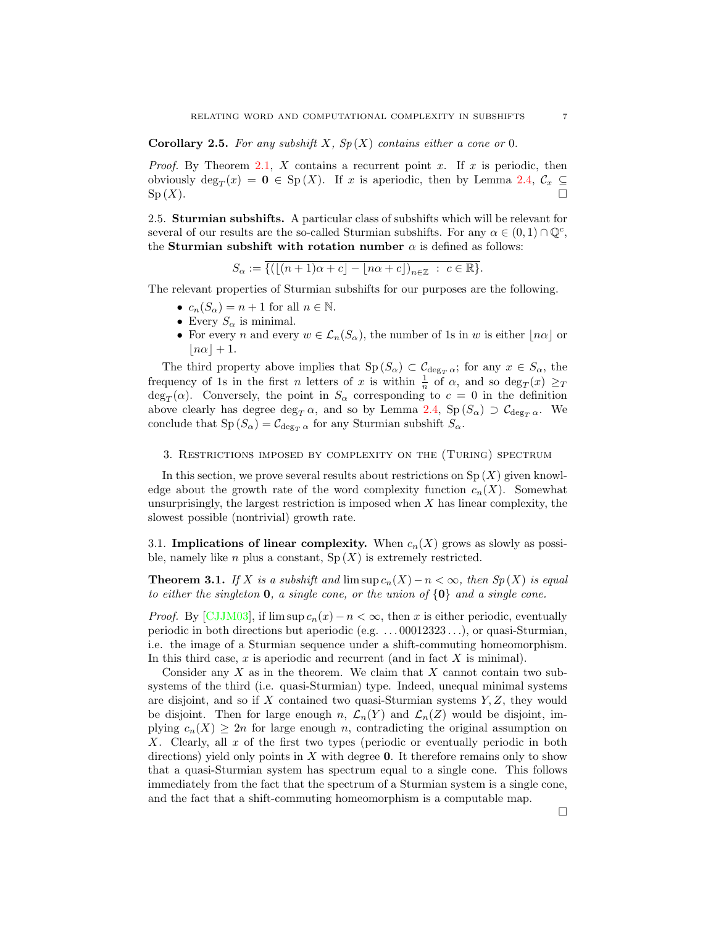**Corollary 2.5.** For any subshift X,  $Sp(X)$  contains either a cone or 0.

*Proof.* By Theorem [2.1,](#page-4-0) X contains a recurrent point x. If x is periodic, then obviously  $\deg_T(x) = \mathbf{0} \in \text{Sp}(X)$ . If x is aperiodic, then by Lemma [2.4,](#page-5-0)  $\mathcal{C}_x \subseteq$  $\mathrm{Sp}(X).$ 

2.5. Sturmian subshifts. A particular class of subshifts which will be relevant for several of our results are the so-called Sturmian subshifts. For any  $\alpha \in (0,1) \cap \mathbb{Q}^c$ , the **Sturmian subshift with rotation number**  $\alpha$  is defined as follows:

$$
S_{\alpha} := \overline{\{(\lfloor (n+1)\alpha + c \rfloor - \lfloor n\alpha + c \rfloor)_{n \in \mathbb{Z}} : c \in \mathbb{R}\}}.
$$

The relevant properties of Sturmian subshifts for our purposes are the following.

- $c_n(S_\alpha) = n + 1$  for all  $n \in \mathbb{N}$ .
- Every  $S_{\alpha}$  is minimal.
- For every n and every  $w \in \mathcal{L}_n(S_\alpha)$ , the number of 1s in w is either  $|n\alpha|$  or  $|n\alpha| + 1.$

The third property above implies that  $\text{Sp}(S_\alpha) \subset \mathcal{C}_{\deg_T \alpha}$ ; for any  $x \in S_\alpha$ , the frequency of 1s in the first *n* letters of x is within  $\frac{1}{n}$  of  $\alpha$ , and so  $\deg_T(x) \geq T$  $\deg_T(\alpha)$ . Conversely, the point in  $S_\alpha$  corresponding to  $c = 0$  in the definition above clearly has degree deg<sub>T</sub>  $\alpha$ , and so by Lemma [2.4,](#page-5-0) Sp ( $S_{\alpha}$ )  $\supset \mathcal{C}_{\deg_{T} \alpha}$ . We conclude that  $Sp(S_\alpha) = C_{\deg_{T}\alpha}$  for any Sturmian subshift  $S_\alpha$ .

## <span id="page-6-0"></span>3. Restrictions imposed by complexity on the (Turing) spectrum

In this section, we prove several results about restrictions on  $Sp(X)$  given knowledge about the growth rate of the word complexity function  $c_n(X)$ . Somewhat unsurprisingly, the largest restriction is imposed when  $X$  has linear complexity, the slowest possible (nontrivial) growth rate.

3.1. Implications of linear complexity. When  $c_n(X)$  grows as slowly as possible, namely like *n* plus a constant,  $Sp(X)$  is extremely restricted.

**Theorem 3.1.** If X is a subshift and  $\limsup c_n(X) - n < \infty$ , then  $Sp(X)$  is equal to either the singleton **0**, a single cone, or the union of  $\{0\}$  and a single cone.

*Proof.* By [\[CJJM03\]](#page-21-7), if  $\limsup c_n(x) - n < \infty$ , then x is either periodic, eventually periodic in both directions but aperiodic (e.g. . . . 00012323 . . .), or quasi-Sturmian, i.e. the image of a Sturmian sequence under a shift-commuting homeomorphism. In this third case,  $x$  is aperiodic and recurrent (and in fact  $X$  is minimal).

Consider any  $X$  as in the theorem. We claim that  $X$  cannot contain two subsystems of the third (i.e. quasi-Sturmian) type. Indeed, unequal minimal systems are disjoint, and so if  $X$  contained two quasi-Sturmian systems  $Y, Z$ , they would be disjoint. Then for large enough n,  $\mathcal{L}_n(Y)$  and  $\mathcal{L}_n(Z)$  would be disjoint, implying  $c_n(X) \geq 2n$  for large enough n, contradicting the original assumption on X. Clearly, all  $x$  of the first two types (periodic or eventually periodic in both directions) yield only points in  $X$  with degree 0. It therefore remains only to show that a quasi-Sturmian system has spectrum equal to a single cone. This follows immediately from the fact that the spectrum of a Sturmian system is a single cone, and the fact that a shift-commuting homeomorphism is a computable map.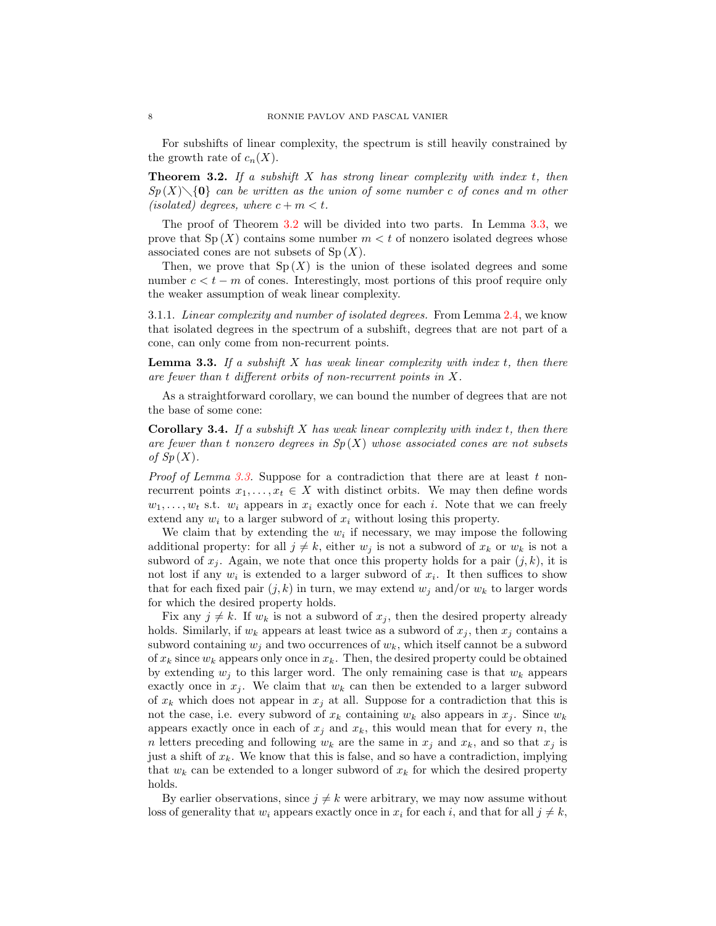For subshifts of linear complexity, the spectrum is still heavily constrained by the growth rate of  $c_n(X)$ .

<span id="page-7-0"></span>**Theorem 3.2.** If a subshift X has strong linear complexity with index  $t$ , then  $Sp(X)\setminus\{0\}$  can be written as the union of some number c of cones and m other (isolated) degrees, where  $c + m < t$ .

The proof of Theorem [3.2](#page-7-0) will be divided into two parts. In Lemma [3.3,](#page-7-1) we prove that  $Sp(X)$  contains some number  $m < t$  of nonzero isolated degrees whose associated cones are not subsets of  $Sp(X)$ .

Then, we prove that  $Sp(X)$  is the union of these isolated degrees and some number  $c < t - m$  of cones. Interestingly, most portions of this proof require only the weaker assumption of weak linear complexity.

3.1.1. Linear complexity and number of isolated degrees. From Lemma [2.4,](#page-5-0) we know that isolated degrees in the spectrum of a subshift, degrees that are not part of a cone, can only come from non-recurrent points.

<span id="page-7-1"></span>**Lemma 3.3.** If a subshift X has weak linear complexity with index  $t$ , then there are fewer than t different orbits of non-recurrent points in X.

As a straightforward corollary, we can bound the number of degrees that are not the base of some cone:

**Corollary 3.4.** If a subshift X has weak linear complexity with index  $t$ , then there are fewer than t nonzero degrees in  $Sp(X)$  whose associated cones are not subsets of  $Sp(X)$ .

*Proof of Lemma [3.3.](#page-7-1)* Suppose for a contradiction that there are at least t nonrecurrent points  $x_1, \ldots, x_t \in X$  with distinct orbits. We may then define words  $w_1, \ldots, w_t$  s.t.  $w_i$  appears in  $x_i$  exactly once for each i. Note that we can freely extend any  $w_i$  to a larger subword of  $x_i$  without losing this property.

We claim that by extending the  $w_i$  if necessary, we may impose the following additional property: for all  $j \neq k$ , either  $w_j$  is not a subword of  $x_k$  or  $w_k$  is not a subword of  $x_j$ . Again, we note that once this property holds for a pair  $(j, k)$ , it is not lost if any  $w_i$  is extended to a larger subword of  $x_i$ . It then suffices to show that for each fixed pair  $(j, k)$  in turn, we may extend  $w_j$  and/or  $w_k$  to larger words for which the desired property holds.

Fix any  $j \neq k$ . If  $w_k$  is not a subword of  $x_j$ , then the desired property already holds. Similarly, if  $w_k$  appears at least twice as a subword of  $x_j$ , then  $x_j$  contains a subword containing  $w_i$  and two occurrences of  $w_k$ , which itself cannot be a subword of  $x_k$  since  $w_k$  appears only once in  $x_k$ . Then, the desired property could be obtained by extending  $w_i$  to this larger word. The only remaining case is that  $w_k$  appears exactly once in  $x_j$ . We claim that  $w_k$  can then be extended to a larger subword of  $x_k$  which does not appear in  $x_j$  at all. Suppose for a contradiction that this is not the case, i.e. every subword of  $x_k$  containing  $w_k$  also appears in  $x_j$ . Since  $w_k$ appears exactly once in each of  $x_j$  and  $x_k$ , this would mean that for every n, the n letters preceding and following  $w_k$  are the same in  $x_j$  and  $x_k$ , and so that  $x_j$  is just a shift of  $x_k$ . We know that this is false, and so have a contradiction, implying that  $w_k$  can be extended to a longer subword of  $x_k$  for which the desired property holds.

By earlier observations, since  $j \neq k$  were arbitrary, we may now assume without loss of generality that  $w_i$  appears exactly once in  $x_i$  for each i, and that for all  $j \neq k$ ,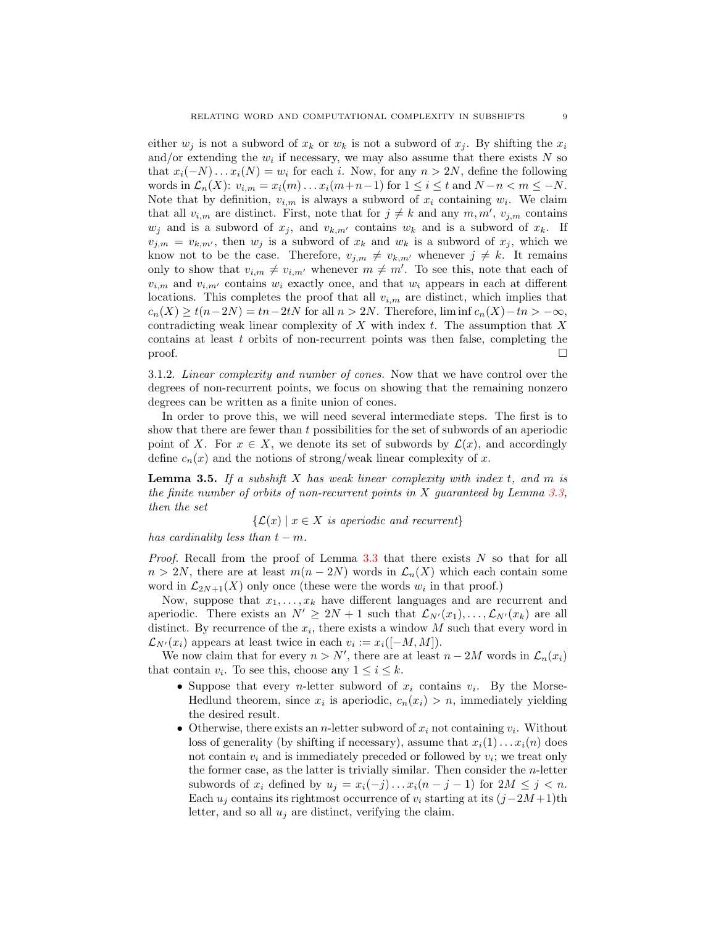either  $w_i$  is not a subword of  $x_k$  or  $w_k$  is not a subword of  $x_i$ . By shifting the  $x_i$ and/or extending the  $w_i$  if necessary, we may also assume that there exists N so that  $x_i(-N) \dots x_i(N) = w_i$  for each i. Now, for any  $n > 2N$ , define the following words in  $\mathcal{L}_n(X)$ :  $v_{i,m} = x_i(m) \dots x_i(m+n-1)$  for  $1 \leq i \leq t$  and  $N-n < m \leq -N$ . Note that by definition,  $v_{i,m}$  is always a subword of  $x_i$  containing  $w_i$ . We claim that all  $v_{i,m}$  are distinct. First, note that for  $j \neq k$  and any  $m, m', v_{j,m}$  contains  $w_j$  and is a subword of  $x_j$ , and  $v_{k,m'}$  contains  $w_k$  and is a subword of  $x_k$ . If  $v_{j,m} = v_{k,m'}$ , then  $w_j$  is a subword of  $x_k$  and  $w_k$  is a subword of  $x_j$ , which we know not to be the case. Therefore,  $v_{j,m} \neq v_{k,m'}$  whenever  $j \neq k$ . It remains only to show that  $v_{i,m} \neq v_{i,m'}$  whenever  $m \neq m'$ . To see this, note that each of  $v_{i,m}$  and  $v_{i,m'}$  contains  $w_i$  exactly once, and that  $w_i$  appears in each at different locations. This completes the proof that all  $v_{i,m}$  are distinct, which implies that  $c_n(X) \ge t(n-2N) = tn - 2tN$  for all  $n > 2N$ . Therefore, lim inf  $c_n(X) - tn > -\infty$ , contradicting weak linear complexity of  $X$  with index  $t$ . The assumption that  $X$ contains at least  $t$  orbits of non-recurrent points was then false, completing the  $\Box$ 

3.1.2. Linear complexity and number of cones. Now that we have control over the degrees of non-recurrent points, we focus on showing that the remaining nonzero degrees can be written as a finite union of cones.

In order to prove this, we will need several intermediate steps. The first is to show that there are fewer than t possibilities for the set of subwords of an aperiodic point of X. For  $x \in X$ , we denote its set of subwords by  $\mathcal{L}(x)$ , and accordingly define  $c_n(x)$  and the notions of strong/weak linear complexity of x.

<span id="page-8-0"></span>**Lemma 3.5.** If a subshift X has weak linear complexity with index t, and m is the finite number of orbits of non-recurrent points in X guaranteed by Lemma [3.3,](#page-7-1) then the set

 $\{\mathcal{L}(x) \mid x \in X \text{ is aperiodic and recurrent}\}\$ 

has cardinality less than  $t - m$ .

*Proof.* Recall from the proof of Lemma [3.3](#page-7-1) that there exists  $N$  so that for all  $n > 2N$ , there are at least  $m(n - 2N)$  words in  $\mathcal{L}_n(X)$  which each contain some word in  $\mathcal{L}_{2N+1}(X)$  only once (these were the words  $w_i$  in that proof.)

Now, suppose that  $x_1, \ldots, x_k$  have different languages and are recurrent and aperiodic. There exists an  $N' \geq 2N + 1$  such that  $\mathcal{L}_{N'}(x_1), \ldots, \mathcal{L}_{N'}(x_k)$  are all distinct. By recurrence of the  $x_i$ , there exists a window M such that every word in  $\mathcal{L}_{N'}(x_i)$  appears at least twice in each  $v_i := x_i([-M, M]).$ 

We now claim that for every  $n > N'$ , there are at least  $n - 2M$  words in  $\mathcal{L}_n(x_i)$ that contain  $v_i$ . To see this, choose any  $1 \leq i \leq k$ .

- Suppose that every *n*-letter subword of  $x_i$  contains  $v_i$ . By the Morse-Hedlund theorem, since  $x_i$  is aperiodic,  $c_n(x_i) > n$ , immediately yielding the desired result.
- Otherwise, there exists an *n*-letter subword of  $x_i$  not containing  $v_i$ . Without loss of generality (by shifting if necessary), assume that  $x_i(1)\dots x_i(n)$  does not contain  $v_i$  and is immediately preceded or followed by  $v_i$ ; we treat only the former case, as the latter is trivially similar. Then consider the n-letter subwords of  $x_i$  defined by  $u_j = x_i(-j) \dots x_i(n-j-1)$  for  $2M \leq j \leq n$ . Each  $u_i$  contains its rightmost occurrence of  $v_i$  starting at its  $(j-2M+1)$ th letter, and so all  $u_i$  are distinct, verifying the claim.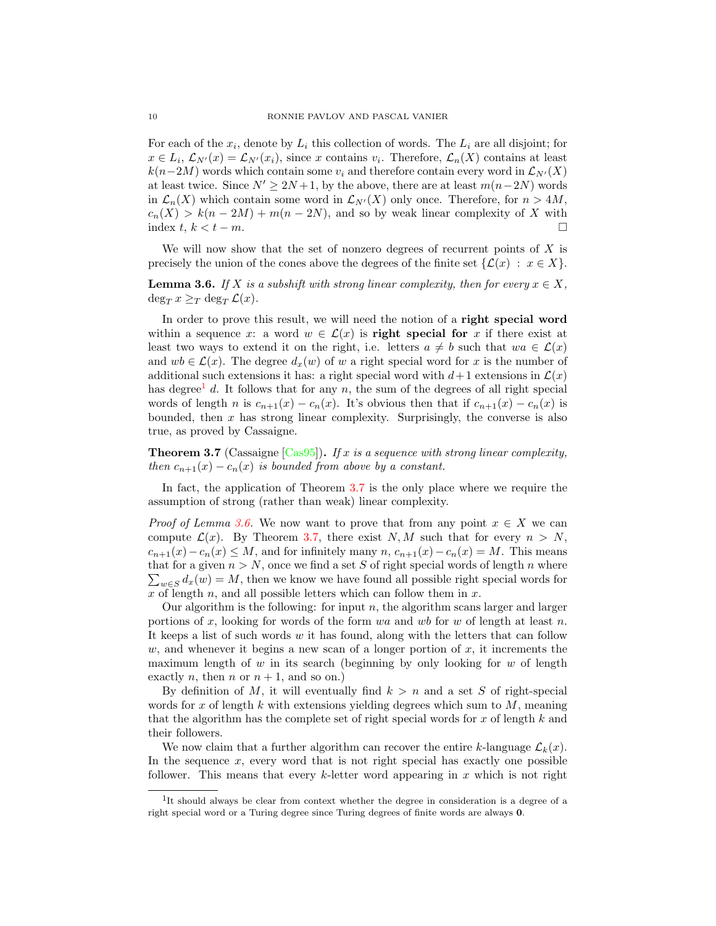For each of the  $x_i$ , denote by  $L_i$  this collection of words. The  $L_i$  are all disjoint; for  $x \in L_i$ ,  $\mathcal{L}_{N'}(x) = \mathcal{L}_{N'}(x_i)$ , since x contains  $v_i$ . Therefore,  $\mathcal{L}_n(X)$  contains at least  $k(n-2M)$  words which contain some  $v_i$  and therefore contain every word in  $\mathcal{L}_{N'}(X)$ at least twice. Since  $N' \ge 2N + 1$ , by the above, there are at least  $m(n-2N)$  words in  $\mathcal{L}_n(X)$  which contain some word in  $\mathcal{L}_{N'}(X)$  only once. Therefore, for  $n > 4M$ ,  $c_n(X) > k(n-2M) + m(n-2N)$ , and so by weak linear complexity of X with index  $t, k < t - m$ .

We will now show that the set of nonzero degrees of recurrent points of  $X$  is precisely the union of the cones above the degrees of the finite set  $\{\mathcal{L}(x) : x \in X\}.$ 

<span id="page-9-2"></span>**Lemma 3.6.** If X is a subshift with strong linear complexity, then for every  $x \in X$ .  $\deg_T x \geq_T \deg_T \mathcal{L}(x)$ .

In order to prove this result, we will need the notion of a right special word within a sequence x: a word  $w \in \mathcal{L}(x)$  is **right special for** x if there exist at least two ways to extend it on the right, i.e. letters  $a \neq b$  such that  $wa \in \mathcal{L}(x)$ and  $wb \in \mathcal{L}(x)$ . The degree  $d_x(w)$  of w a right special word for x is the number of additional such extensions it has: a right special word with  $d+1$  extensions in  $\mathcal{L}(x)$ has degree<sup>[1](#page-9-0)</sup> d. It follows that for any n, the sum of the degrees of all right special words of length n is  $c_{n+1}(x) - c_n(x)$ . It's obvious then that if  $c_{n+1}(x) - c_n(x)$  is bounded, then  $x$  has strong linear complexity. Surprisingly, the converse is also true, as proved by Cassaigne.

<span id="page-9-1"></span>**Theorem 3.7** (Cassaigne [\[Cas95\]](#page-21-8)). If x is a sequence with strong linear complexity, then  $c_{n+1}(x) - c_n(x)$  is bounded from above by a constant.

In fact, the application of Theorem [3.7](#page-9-1) is the only place where we require the assumption of strong (rather than weak) linear complexity.

*Proof of Lemma [3.6.](#page-9-2)* We now want to prove that from any point  $x \in X$  we can compute  $\mathcal{L}(x)$ . By Theorem [3.7,](#page-9-1) there exist N, M such that for every  $n > N$ ,  $c_{n+1}(x)-c_n(x) \leq M$ , and for infinitely many  $n, c_{n+1}(x)-c_n(x) = M$ . This means that for a given  $n > N$ , once we find a set S of right special words of length n where  $\sum_{w\in S} d_x(w) = M$ , then we know we have found all possible right special words for x of length n, and all possible letters which can follow them in  $x$ .

Our algorithm is the following: for input  $n$ , the algorithm scans larger and larger portions of x, looking for words of the form wa and wb for w of length at least n. It keeps a list of such words w it has found, along with the letters that can follow w, and whenever it begins a new scan of a longer portion of  $x$ , it increments the maximum length of w in its search (beginning by only looking for w of length exactly *n*, then *n* or  $n + 1$ , and so on.)

By definition of M, it will eventually find  $k > n$  and a set S of right-special words for x of length k with extensions yielding degrees which sum to  $M$ , meaning that the algorithm has the complete set of right special words for  $x$  of length  $k$  and their followers.

We now claim that a further algorithm can recover the entire k-language  $\mathcal{L}_k(x)$ . In the sequence  $x$ , every word that is not right special has exactly one possible follower. This means that every k-letter word appearing in x which is not right

<span id="page-9-0"></span><sup>&</sup>lt;sup>1</sup>It should always be clear from context whether the degree in consideration is a degree of a right special word or a Turing degree since Turing degrees of finite words are always 0.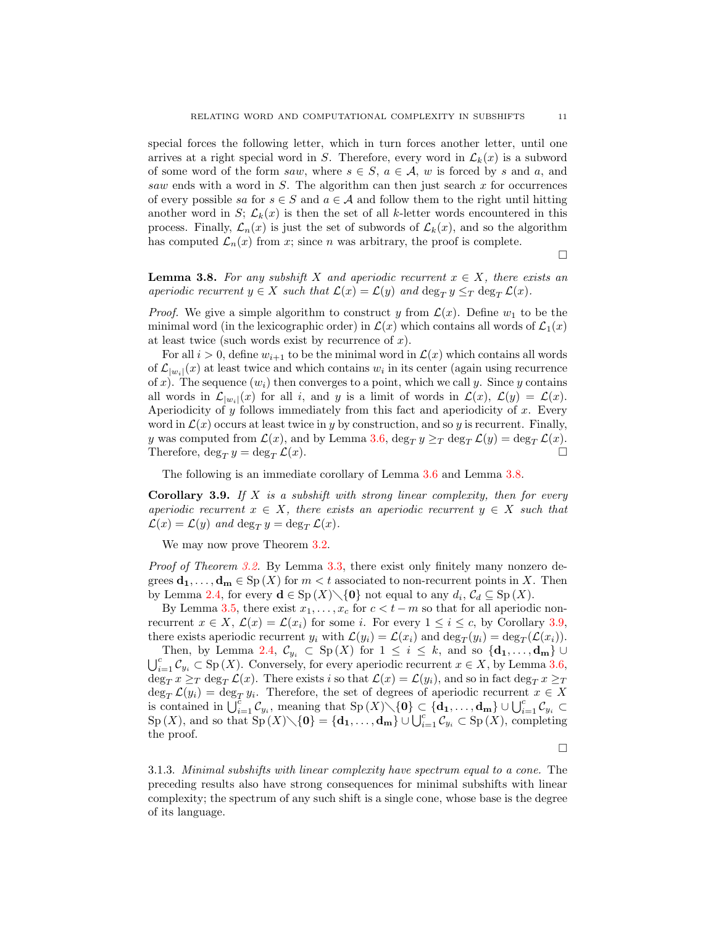special forces the following letter, which in turn forces another letter, until one arrives at a right special word in S. Therefore, every word in  $\mathcal{L}_k(x)$  is a subword of some word of the form saw, where  $s \in S$ ,  $a \in A$ , w is forced by s and a, and saw ends with a word in  $S$ . The algorithm can then just search  $x$  for occurrences of every possible sa for  $s \in S$  and  $a \in A$  and follow them to the right until hitting another word in S;  $\mathcal{L}_k(x)$  is then the set of all k-letter words encountered in this process. Finally,  $\mathcal{L}_n(x)$  is just the set of subwords of  $\mathcal{L}_k(x)$ , and so the algorithm has computed  $\mathcal{L}_n(x)$  from x; since n was arbitrary, the proof is complete.

 $\Box$ 

<span id="page-10-0"></span>**Lemma 3.8.** For any subshift X and aperiodic recurrent  $x \in X$ , there exists an aperiodic recurrent  $y \in X$  such that  $\mathcal{L}(x) = \mathcal{L}(y)$  and  $\deg_T y \leq_T \deg_T \mathcal{L}(x)$ .

*Proof.* We give a simple algorithm to construct y from  $\mathcal{L}(x)$ . Define  $w_1$  to be the minimal word (in the lexicographic order) in  $\mathcal{L}(x)$  which contains all words of  $\mathcal{L}_1(x)$ at least twice (such words exist by recurrence of  $x$ ).

For all  $i > 0$ , define  $w_{i+1}$  to be the minimal word in  $\mathcal{L}(x)$  which contains all words of  $\mathcal{L}_{|w_i|}(x)$  at least twice and which contains  $w_i$  in its center (again using recurrence of x). The sequence  $(w_i)$  then converges to a point, which we call y. Since y contains all words in  $\mathcal{L}_{|w_i|}(x)$  for all i, and y is a limit of words in  $\mathcal{L}(x)$ ,  $\mathcal{L}(y) = \mathcal{L}(x)$ . Aperiodicity of  $y$  follows immediately from this fact and aperiodicity of  $x$ . Every word in  $\mathcal{L}(x)$  occurs at least twice in y by construction, and so y is recurrent. Finally, y was computed from  $\mathcal{L}(x)$ , and by Lemma [3.6,](#page-9-2)  $\deg_T y \geq_T \deg_T \mathcal{L}(y) = \deg_T \mathcal{L}(x)$ .<br>Therefore  $\deg_T y = \deg_T \mathcal{L}(x)$ Therefore,  $\deg_T y = \deg_T \mathcal{L}(x)$ .

The following is an immediate corollary of Lemma [3.6](#page-9-2) and Lemma [3.8.](#page-10-0)

<span id="page-10-1"></span>**Corollary 3.9.** If  $X$  is a subshift with strong linear complexity, then for every aperiodic recurrent  $x \in X$ , there exists an aperiodic recurrent  $y \in X$  such that  $\mathcal{L}(x) = \mathcal{L}(y)$  and  $\deg_T y = \deg_T \mathcal{L}(x)$ .

We may now prove Theorem  $3.2$ .

Proof of Theorem [3.2.](#page-7-0) By Lemma [3.3,](#page-7-1) there exist only finitely many nonzero degrees  $\mathbf{d}_1, \ldots, \mathbf{d}_m \in \text{Sp}(X)$  for  $m < t$  associated to non-recurrent points in X. Then by Lemma [2.4,](#page-5-0) for every  $\mathbf{d} \in \mathrm{Sp}(X) \setminus \{0\}$  not equal to any  $d_i, \mathcal{C}_d \subseteq \mathrm{Sp}(X)$ .

By Lemma [3.5,](#page-8-0) there exist  $x_1, \ldots, x_c$  for  $c < t - m$  so that for all aperiodic nonrecurrent  $x \in X$ ,  $\mathcal{L}(x) = \mathcal{L}(x_i)$  for some i. For every  $1 \leq i \leq c$ , by Corollary [3.9,](#page-10-1) there exists aperiodic recurrent  $y_i$  with  $\mathcal{L}(y_i) = \mathcal{L}(x_i)$  and  $\deg_T(y_i) = \deg_T(\mathcal{L}(x_i)).$ 

Then, by Lemma [2.4,](#page-5-0)  $\mathcal{C}_{y_i} \subset \text{Sp}(X)$  for  $1 \leq i \leq k$ , and so  $\{d_1, \ldots, d_m\}$  $\bigcup_{i=1}^c C_{y_i} \subset \text{Sp}(X)$ . Conversely, for every aperiodic recurrent  $x \in X$ , by Lemma [3.6,](#page-9-2)  $\deg_T x \geq_T \deg_T \mathcal{L}(x)$ . There exists i so that  $\mathcal{L}(x) = \mathcal{L}(y_i)$ , and so in fact  $\deg_T x \geq_T$  $\deg_T \mathcal{L}(y_i) = \deg_T y_i$ . Therefore, the set of degrees of aperiodic recurrent  $x \in X$ is contained in  $\bigcup_{i=1}^{c} \mathcal{C}_{y_i}$ , meaning that  $\text{Sp}(X)\setminus\{\mathbf{0}\}\subset \{\mathbf{d_1},\ldots,\mathbf{d_m}\}\cup \bigcup_{i=1}^{c} \mathcal{C}_{y_i} \subset$  $\text{Sp}(X)$ , and so that  $\text{Sp}(X)\setminus\{\mathbf{0}\}=\{\mathbf{d_1},\ldots,\mathbf{d_m}\}\cup\bigcup_{i=1}^c\mathcal{C}_{y_i}\subset\text{Sp}(X)$ , completing the proof.

 $\Box$ 

3.1.3. Minimal subshifts with linear complexity have spectrum equal to a cone. The preceding results also have strong consequences for minimal subshifts with linear complexity; the spectrum of any such shift is a single cone, whose base is the degree of its language.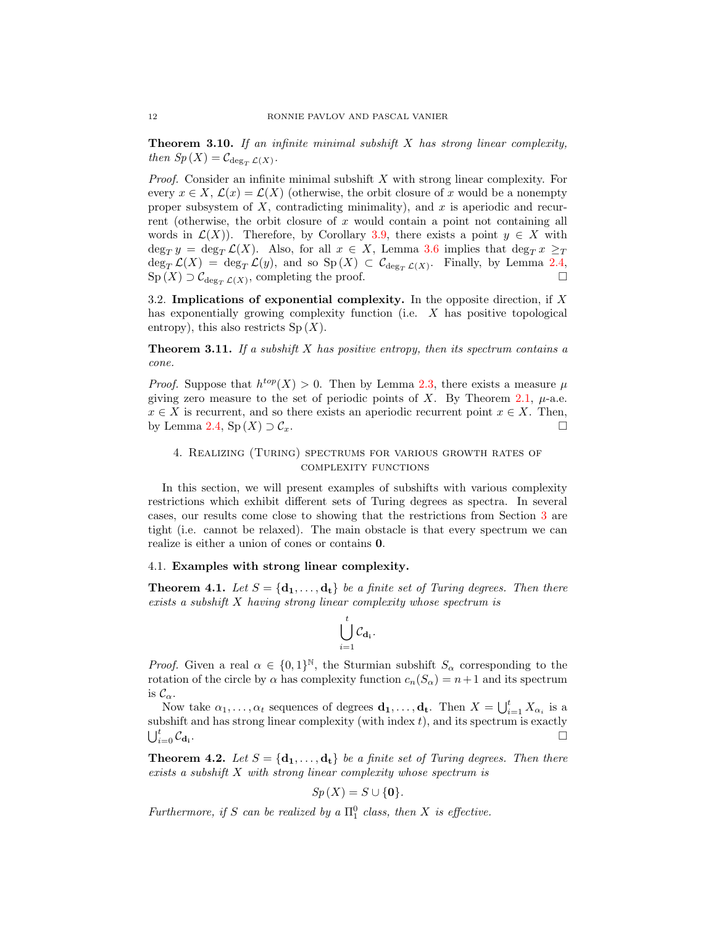**Theorem 3.10.** If an infinite minimal subshift  $X$  has strong linear complexity, then  $Sp(X) = C_{\deg_T} \mathcal{L}(X)$ .

*Proof.* Consider an infinite minimal subshift  $X$  with strong linear complexity. For every  $x \in X$ ,  $\mathcal{L}(x) = \mathcal{L}(X)$  (otherwise, the orbit closure of x would be a nonempty proper subsystem of  $X$ , contradicting minimality), and  $x$  is aperiodic and recurrent (otherwise, the orbit closure of  $x$  would contain a point not containing all words in  $\mathcal{L}(X)$ . Therefore, by Corollary [3.9,](#page-10-1) there exists a point  $y \in X$  with  $\deg_T y = \deg_T \mathcal{L}(X)$ . Also, for all  $x \in X$ , Lemma [3.6](#page-9-2) implies that  $\deg_T x \geq_T$  $\deg_T \mathcal{L}(X) = \deg_T \mathcal{L}(y)$ , and so  $\text{Sp}(X) \subset C_{\deg_T \mathcal{L}(X)}$ . Finally, by Lemma [2.4,](#page-5-0)  $\text{Sp}(X) \supset \mathcal{C}_{\deg_T \mathcal{L}(X)}$ , completing the proof.

3.2. Implications of exponential complexity. In the opposite direction, if  $X$ has exponentially growing complexity function (i.e. X has positive topological entropy), this also restricts  $Sp(X)$ .

<span id="page-11-3"></span>**Theorem 3.11.** If a subshift X has positive entropy, then its spectrum contains a cone.

*Proof.* Suppose that  $h^{top}(X) > 0$ . Then by Lemma [2.3,](#page-4-1) there exists a measure  $\mu$ giving zero measure to the set of periodic points of X. By Theorem [2.1,](#page-4-0)  $\mu$ -a.e.  $x \in X$  is recurrent, and so there exists an aperiodic recurrent point  $x \in X$ . Then, by Lemma [2.4,](#page-5-0)  $\text{Sp}(X) \supset \mathcal{C}_x$ .

## <span id="page-11-0"></span>4. Realizing (Turing) spectrums for various growth rates of complexity functions

In this section, we will present examples of subshifts with various complexity restrictions which exhibit different sets of Turing degrees as spectra. In several cases, our results come close to showing that the restrictions from Section [3](#page-6-0) are tight (i.e. cannot be relaxed). The main obstacle is that every spectrum we can realize is either a union of cones or contains 0.

## 4.1. Examples with strong linear complexity.

<span id="page-11-1"></span>**Theorem 4.1.** Let  $S = {\bf{d_1}, \ldots, d_t}$  be a finite set of Turing degrees. Then there exists a subshift X having strong linear complexity whose spectrum is

$$
\bigcup_{i=1}^t \mathcal{C}_{\mathbf{d_i}}.
$$

*Proof.* Given a real  $\alpha \in \{0,1\}^{\mathbb{N}}$ , the Sturmian subshift  $S_{\alpha}$  corresponding to the rotation of the circle by  $\alpha$  has complexity function  $c_n(S_\alpha) = n+1$  and its spectrum is  $\mathcal{C}_{\alpha}$ .

Now take  $\alpha_1, \ldots, \alpha_t$  sequences of degrees  $\mathbf{d}_1, \ldots, \mathbf{d}_t$ . Then  $X = \bigcup_{i=1}^t X_{\alpha_i}$  is a subshift and has strong linear complexity (with index  $t$ ), and its spectrum is exactly  $\bigcup_{i=0}^t \mathcal{C}_{\mathbf{d_i}}$ .

<span id="page-11-2"></span>**Theorem 4.2.** Let  $S = {\bf{d_1}, \ldots, d_t}$  be a finite set of Turing degrees. Then there exists a subshift X with strong linear complexity whose spectrum is

$$
Sp(X) = S \cup \{0\}.
$$

Furthermore, if S can be realized by a  $\Pi_1^0$  class, then X is effective.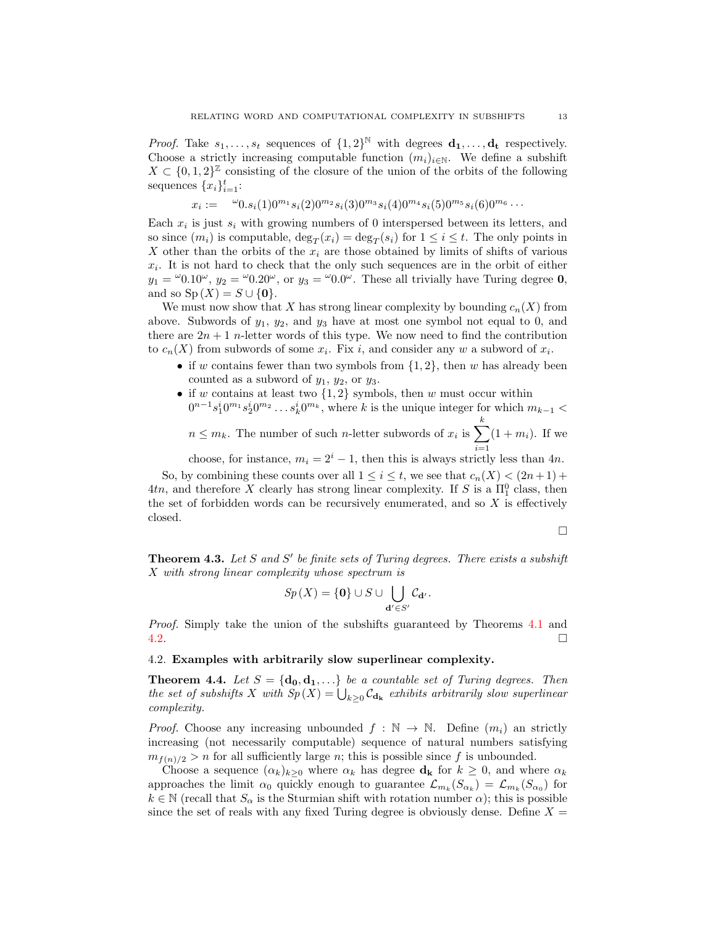*Proof.* Take  $s_1, \ldots, s_t$  sequences of  $\{1, 2\}^{\mathbb{N}}$  with degrees  $\mathbf{d_1}, \ldots, \mathbf{d_t}$  respectively. Choose a strictly increasing computable function  $(m_i)_{i\in\mathbb{N}}$ . We define a subshift  $X \subset \{0,1,2\}^{\mathbb{Z}}$  consisting of the closure of the union of the orbits of the following sequences  $\{x_i\}_{i=1}^t$ :

$$
x_i := \omega_{0.s_i(1)0^{m_1} s_i(2)0^{m_2} s_i(3)0^{m_3} s_i(4)0^{m_4} s_i(5)0^{m_5} s_i(6)0^{m_6} \cdots
$$

Each  $x_i$  is just  $s_i$  with growing numbers of 0 interspersed between its letters, and so since  $(m_i)$  is computable,  $\deg_T(x_i) = \deg_T(s_i)$  for  $1 \le i \le t$ . The only points in X other than the orbits of the  $x_i$  are those obtained by limits of shifts of various  $x_i$ . It is not hard to check that the only such sequences are in the orbit of either  $y_1 = \omega_{0.10^{\omega}, y_2} = \omega_{0.20^{\omega}, \text{ or } y_3} = \omega_{0.0^{\omega}.}$  These all trivially have Turing degree **0**, and so  $Sp(X) = S \cup \{0\}.$ 

We must now show that X has strong linear complexity by bounding  $c_n(X)$  from above. Subwords of  $y_1$ ,  $y_2$ , and  $y_3$  have at most one symbol not equal to 0, and there are  $2n + 1$  n-letter words of this type. We now need to find the contribution to  $c_n(X)$  from subwords of some  $x_i$ . Fix i, and consider any w a subword of  $x_i$ .

- if w contains fewer than two symbols from  $\{1, 2\}$ , then w has already been counted as a subword of  $y_1$ ,  $y_2$ , or  $y_3$ .
- if w contains at least two  $\{1,2\}$  symbols, then w must occur within  $0^{n-1}s_1^i 0^{m_1}s_2^i 0^{m_2}\ldots s_k^i 0^{m_k}$ , where k is the unique integer for which  $m_{k-1}$  <
	- $n \leq m_k$ . The number of such *n*-letter subwords of  $x_i$  is  $\sum_{k=1}^{k}$  $i=1$  $(1 + m_i)$ . If we

choose, for instance,  $m_i = 2^i - 1$ , then this is always strictly less than 4n. So, by combining these counts over all  $1 \leq i \leq t$ , we see that  $c_n(X) < (2n+1) +$  $4tn$ , and therefore X clearly has strong linear complexity. If S is a  $\Pi_1^0$  class, then the set of forbidden words can be recursively enumerated, and so  $X$  is effectively closed.

$$
\Box
$$

**Theorem 4.3.** Let S and S' be finite sets of Turing degrees. There exists a subshift X with strong linear complexity whose spectrum is

$$
Sp(X) = \{0\} \cup S \cup \bigcup_{\mathbf{d}' \in S'} \mathcal{C}_{\mathbf{d}'}.
$$

Proof. Simply take the union of the subshifts guaranteed by Theorems [4.1](#page-11-1) and [4.2.](#page-11-2)

#### 4.2. Examples with arbitrarily slow superlinear complexity.

**Theorem 4.4.** Let  $S = {\bf{d_0}, d_1, \ldots}$  be a countable set of Turing degrees. Then the set of subshifts X with  $Sp(X) = \bigcup_{k>0} C_{\mathbf{d_k}}$  exhibits arbitrarily slow superlinear complexity.

*Proof.* Choose any increasing unbounded  $f : \mathbb{N} \to \mathbb{N}$ . Define  $(m_i)$  an strictly increasing (not necessarily computable) sequence of natural numbers satisfying  $m_{f(n)/2} > n$  for all sufficiently large n; this is possible since f is unbounded.

Choose a sequence  $(\alpha_k)_{k\geq 0}$  where  $\alpha_k$  has degree  $\mathbf{d}_{\mathbf{k}}$  for  $k \geq 0$ , and where  $\alpha_k$ approaches the limit  $\alpha_0$  quickly enough to guarantee  $\mathcal{L}_{m_k}(S_{\alpha_k}) = \mathcal{L}_{m_k}(S_{\alpha_0})$  for  $k \in \mathbb{N}$  (recall that  $S_{\alpha}$  is the Sturmian shift with rotation number  $\alpha$ ); this is possible since the set of reals with any fixed Turing degree is obviously dense. Define  $X =$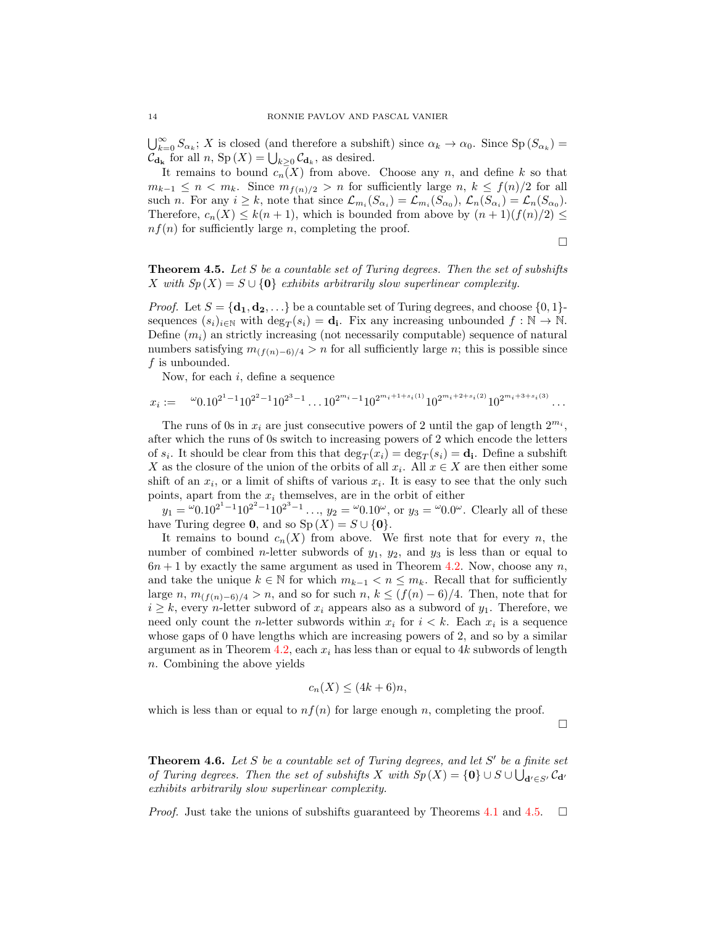$\bigcup_{k=0}^{\infty} S_{\alpha_k}$ ; X is closed (and therefore a subshift) since  $\alpha_k \to \alpha_0$ . Since  $\text{Sp}(S_{\alpha_k})$  =  $\mathcal{C}_{\mathbf{d}_{\mathbf{k}}}$  for all  $n$ ,  $\text{Sp}(X) = \bigcup_{k \geq 0} \mathcal{C}_{\mathbf{d}_k}$ , as desired.

It remains to bound  $c_n(X)$  from above. Choose any n, and define k so that  $m_{k-1} \leq n < m_k$ . Since  $m_{f(n)/2} > n$  for sufficiently large  $n, k \leq f(n)/2$  for all such *n*. For any  $i \geq k$ , note that since  $\mathcal{L}_{m_i}(S_{\alpha_i}) = \mathcal{L}_{m_i}(S_{\alpha_0}), \mathcal{L}_n(S_{\alpha_i}) = \mathcal{L}_n(S_{\alpha_0}).$ Therefore,  $c_n(X) \leq k(n+1)$ , which is bounded from above by  $(n+1)(f(n)/2) \leq$  $nf(n)$  for sufficiently large n, completing the proof.

 $\Box$ 

<span id="page-13-0"></span>**Theorem 4.5.** Let S be a countable set of Turing degrees. Then the set of subshifts X with  $Sp(X) = S \cup \{0\}$  exhibits arbitrarily slow superlinear complexity.

*Proof.* Let  $S = {\bf{d_1}, d_2, \ldots}$  be a countable set of Turing degrees, and choose  $\{0, 1\}$ sequences  $(s_i)_{i\in\mathbb{N}}$  with  $\deg_T(s_i) = \mathbf{d_i}$ . Fix any increasing unbounded  $f : \mathbb{N} \to \mathbb{N}$ . Define  $(m_i)$  an strictly increasing (not necessarily computable) sequence of natural numbers satisfying  $m_{(f(n)-6)/4} > n$  for all sufficiently large n; this is possible since f is unbounded.

Now, for each  $i$ , define a sequence

$$
x_i := \, ^{\omega} 0.10^{2^1 - 1} 10^{2^2 - 1} 10^{2^3 - 1} \dots 10^{2^{m_i - 1}} 10^{2^{m_i + 1 + s_i(1)}} 10^{2^{m_i + 2 + s_i(2)}} 10^{2^{m_i + 3 + s_i(3)}} \dots
$$

The runs of 0s in  $x_i$  are just consecutive powers of 2 until the gap of length  $2^{m_i}$ , after which the runs of 0s switch to increasing powers of 2 which encode the letters of  $s_i$ . It should be clear from this that  $\deg_T(x_i) = \deg_T(s_i) = \mathbf{d_i}$ . Define a subshift X as the closure of the union of the orbits of all  $x_i$ . All  $x \in X$  are then either some shift of an  $x_i$ , or a limit of shifts of various  $x_i$ . It is easy to see that the only such points, apart from the  $x_i$  themselves, are in the orbit of either

 $y_1 = {}^{\omega}0.10^{2^1-1}10^{2^2-1}10^{2^3-1}\ldots$ ,  $y_2 = {}^{\omega}0.10^{\omega}$ , or  $y_3 = {}^{\omega}0.0^{\omega}$ . Clearly all of these have Turing degree **0**, and so  $Sp(X) = S \cup \{0\}.$ 

It remains to bound  $c_n(X)$  from above. We first note that for every n, the number of combined *n*-letter subwords of  $y_1$ ,  $y_2$ , and  $y_3$  is less than or equal to  $6n + 1$  by exactly the same argument as used in Theorem [4.2.](#page-11-2) Now, choose any n, and take the unique  $k \in \mathbb{N}$  for which  $m_{k-1} < n \leq m_k$ . Recall that for sufficiently large n,  $m_{(f(n)-6)/4} > n$ , and so for such n,  $k \leq (f(n)-6)/4$ . Then, note that for  $i \geq k$ , every *n*-letter subword of  $x_i$  appears also as a subword of  $y_1$ . Therefore, we need only count the *n*-letter subwords within  $x_i$  for  $i < k$ . Each  $x_i$  is a sequence whose gaps of 0 have lengths which are increasing powers of 2, and so by a similar argument as in Theorem [4.2,](#page-11-2) each  $x_i$  has less than or equal to 4k subwords of length n. Combining the above yields

$$
c_n(X) \le (4k+6)n,
$$

which is less than or equal to  $nf(n)$  for large enough n, completing the proof.

 $\Box$ 

**Theorem 4.6.** Let S be a countable set of Turing degrees, and let  $S'$  be a finite set of Turing degrees. Then the set of subshifts X with  $Sp(X) = \{0\} \cup S \cup \bigcup_{d' \in S'} C_{d'}$ exhibits arbitrarily slow superlinear complexity.

*Proof.* Just take the unions of subshifts guaranteed by Theorems [4.1](#page-11-1) and [4.5.](#page-13-0)  $\Box$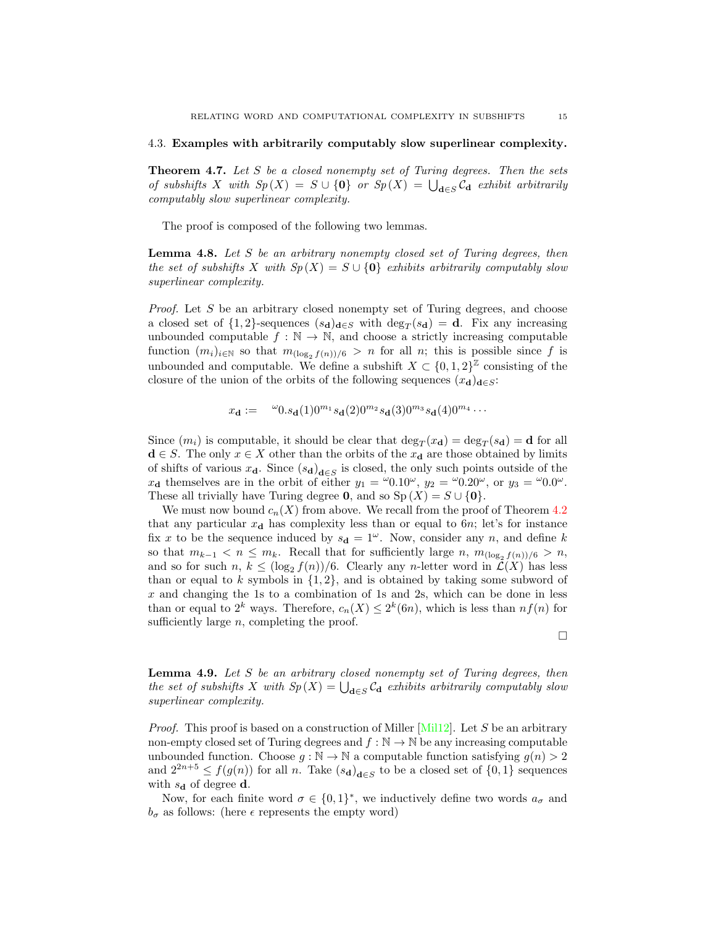#### 4.3. Examples with arbitrarily computably slow superlinear complexity.

**Theorem 4.7.** Let S be a closed nonempty set of Turing degrees. Then the sets of subshifts X with  $Sp(X) = S \cup \{0\}$  or  $Sp(X) = \bigcup_{\mathbf{d} \in S} C_{\mathbf{d}}$  exhibit arbitrarily computably slow superlinear complexity.

The proof is composed of the following two lemmas.

**Lemma 4.8.** Let S be an arbitrary nonempty closed set of Turing degrees, then the set of subshifts X with  $Sp(X) = S \cup \{0\}$  exhibits arbitrarily computably slow superlinear complexity.

Proof. Let S be an arbitrary closed nonempty set of Turing degrees, and choose a closed set of  $\{1,2\}$ -sequences  $(s_d)_{d\in S}$  with  $\deg_T(s_d) = d$ . Fix any increasing unbounded computable  $f : \mathbb{N} \to \mathbb{N}$ , and choose a strictly increasing computable function  $(m_i)_{i\in\mathbb{N}}$  so that  $m_{(\log_2 f(n))/6} > n$  for all n; this is possible since f is unbounded and computable. We define a subshift  $X \subset \{0,1,2\}^{\mathbb{Z}}$  consisting of the closure of the union of the orbits of the following sequences  $(x_d)_{d\in S}$ :

$$
x_{\mathbf{d}} := \omega_{0.s_{\mathbf{d}}(1)0^{m_1} s_{\mathbf{d}}(2)0^{m_2} s_{\mathbf{d}}(3)0^{m_3} s_{\mathbf{d}}(4)0^{m_4} \cdots
$$

Since  $(m_i)$  is computable, it should be clear that  $\deg_T(x_d) = \deg_T(s_d) = d$  for all  $\mathbf{d} \in S$ . The only  $x \in X$  other than the orbits of the  $x_{\mathbf{d}}$  are those obtained by limits of shifts of various  $x_d$ . Since  $(s_d)_{d\in S}$  is closed, the only such points outside of the  $x_{\mathbf{d}}$  themselves are in the orbit of either  $y_1 = {}^{\omega}0.10^{\omega}$ ,  $y_2 = {}^{\omega}0.20^{\omega}$ , or  $y_3 = {}^{\omega}0.0^{\omega}$ . These all trivially have Turing degree **0**, and so  $Sp(X) = S \cup \{0\}.$ 

We must now bound  $c_n(X)$  from above. We recall from the proof of Theorem [4.2](#page-11-2) that any particular  $x_d$  has complexity less than or equal to 6n; let's for instance fix x to be the sequence induced by  $s_d = 1^{\omega}$ . Now, consider any n, and define k so that  $m_{k-1} < n \leq m_k$ . Recall that for sufficiently large n,  $m_{(\log_2 f(n))/6} > n$ , and so for such  $n, k \leq (\log_2 f(n))/6$ . Clearly any n-letter word in  $\mathcal{L}(X)$  has less than or equal to k symbols in  $\{1, 2\}$ , and is obtained by taking some subword of  $x$  and changing the 1s to a combination of 1s and 2s, which can be done in less than or equal to  $2^k$  ways. Therefore,  $c_n(X) \leq 2^k(6n)$ , which is less than  $nf(n)$  for sufficiently large  $n$ , completing the proof.

 $\Box$ 

<span id="page-14-0"></span>**Lemma 4.9.** Let  $S$  be an arbitrary closed nonempty set of Turing degrees, then the set of subshifts X with  $Sp(X) = \bigcup_{\mathbf{d} \in S} C_{\mathbf{d}}$  exhibits arbitrarily computably slow superlinear complexity.

*Proof.* This proof is based on a construction of Miller [\[Mil12\]](#page-21-9). Let S be an arbitrary non-empty closed set of Turing degrees and  $f : \mathbb{N} \to \mathbb{N}$  be any increasing computable unbounded function. Choose  $g : \mathbb{N} \to \mathbb{N}$  a computable function satisfying  $g(n) > 2$ and  $2^{2n+5} \le f(g(n))$  for all n. Take  $(s_d)_{d \in S}$  to be a closed set of  $\{0,1\}$  sequences with  $s_{\mathbf{d}}$  of degree **d**.

Now, for each finite word  $\sigma \in \{0,1\}^*$ , we inductively define two words  $a_{\sigma}$  and  $b_{\sigma}$  as follows: (here  $\epsilon$  represents the empty word)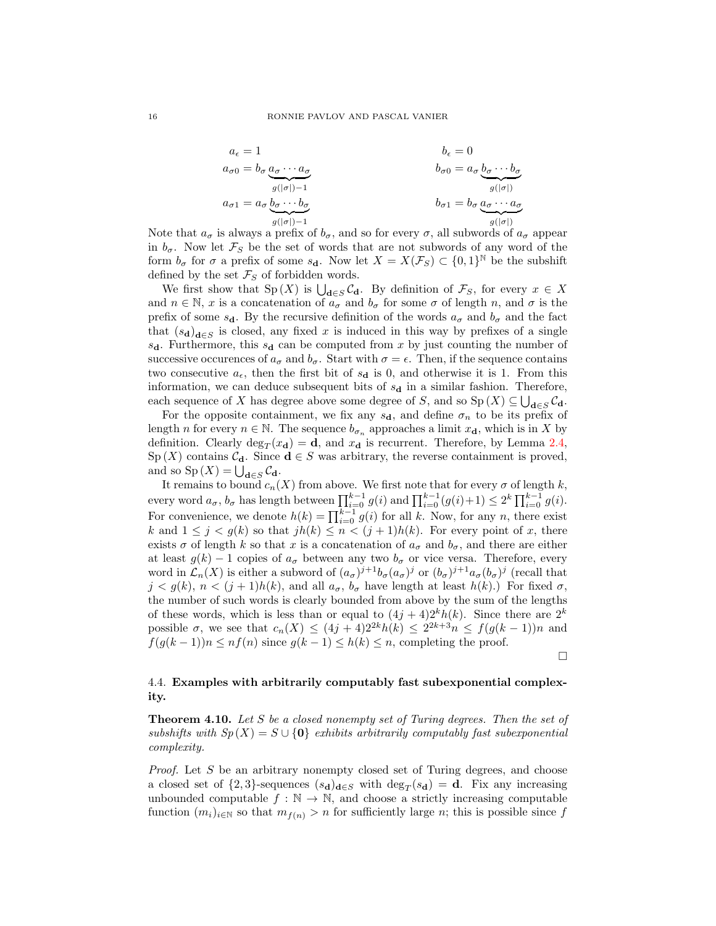$$
a_{\epsilon} = 1
$$
\n
$$
b_{\epsilon} = 0
$$
\n
$$
b_{\sigma 0} = b_{\sigma} \underbrace{a_{\sigma} \cdots a_{\sigma}}_{g(|\sigma|)-1}
$$
\n
$$
b_{\sigma 0} = a_{\sigma} \underbrace{b_{\sigma} \cdots b_{\sigma}}_{g(|\sigma|)}
$$
\n
$$
b_{\sigma 1} = b_{\sigma} \underbrace{a_{\sigma} \cdots a_{\sigma}}_{g(|\sigma|)}
$$

Note that  $a_{\sigma}$  is always a prefix of  $b_{\sigma}$ , and so for every  $\sigma$ , all subwords of  $a_{\sigma}$  appear in  $b_{\sigma}$ . Now let  $\mathcal{F}_S$  be the set of words that are not subwords of any word of the form  $b_{\sigma}$  for  $\sigma$  a prefix of some  $s_d$ . Now let  $X = X(\mathcal{F}_S) \subset \{0,1\}^{\mathbb{N}}$  be the subshift defined by the set  $\mathcal{F}_S$  of forbidden words.

We first show that  $Sp(X)$  is  $\bigcup_{d\in S} C_d$ . By definition of  $\mathcal{F}_S$ , for every  $x \in X$ and  $n \in \mathbb{N}$ , x is a concatenation of  $a_{\sigma}$  and  $b_{\sigma}$  for some  $\sigma$  of length n, and  $\sigma$  is the prefix of some  $s_{d}$ . By the recursive definition of the words  $a_{\sigma}$  and  $b_{\sigma}$  and the fact that  $(s_d)_{d\in S}$  is closed, any fixed x is induced in this way by prefixes of a single  $s_{d}$ . Furthermore, this  $s_{d}$  can be computed from x by just counting the number of successive occurences of  $a_{\sigma}$  and  $b_{\sigma}$ . Start with  $\sigma = \epsilon$ . Then, if the sequence contains two consecutive  $a_{\epsilon}$ , then the first bit of  $s_{d}$  is 0, and otherwise it is 1. From this information, we can deduce subsequent bits of  $s_d$  in a similar fashion. Therefore, each sequence of X has degree above some degree of S, and so  $\text{Sp}(X) \subseteq \bigcup_{\mathbf{d} \in S} \mathcal{C}_{\mathbf{d}}$ .

For the opposite containment, we fix any  $s_{d}$ , and define  $\sigma_n$  to be its prefix of length *n* for every  $n \in \mathbb{N}$ . The sequence  $b_{\sigma_n}$  approaches a limit  $x_d$ , which is in X by definition. Clearly  $\deg_T(x_d) = \mathbf{d}$ , and  $x_d$  is recurrent. Therefore, by Lemma [2.4,](#page-5-0) Sp  $(X)$  contains  $C_d$ . Since  $d \in S$  was arbitrary, the reverse containment is proved, and so  $\text{Sp}(X) = \bigcup_{\mathbf{d} \in S} C_{\mathbf{d}}.$ 

It remains to bound  $c_n(X)$  from above. We first note that for every  $\sigma$  of length k, every word  $a_{\sigma}$ ,  $b_{\sigma}$  has length between  $\prod_{i=0}^{k-1} g(i)$  and  $\prod_{i=0}^{k-1} (g(i)+1) \leq 2^k \prod_{i=0}^{k-1} g(i)$ . For convenience, we denote  $h(k) = \prod_{i=0}^{k-1} g(i)$  for all k. Now, for any n, there exist k and  $1 \leq j < g(k)$  so that  $jh(k) \leq n < (j+1)h(k)$ . For every point of x, there exists  $\sigma$  of length k so that x is a concatenation of  $a_{\sigma}$  and  $b_{\sigma}$ , and there are either at least  $g(k) - 1$  copies of  $a_{\sigma}$  between any two  $b_{\sigma}$  or vice versa. Therefore, every word in  $\mathcal{L}_n(X)$  is either a subword of  $(a_{\sigma})^{j+1}b_{\sigma}(a_{\sigma})^j$  or  $(b_{\sigma})^{j+1}a_{\sigma}(b_{\sigma})^j$  (recall that  $j < g(k)$ ,  $n < (j + 1)h(k)$ , and all  $a_{\sigma}$ ,  $b_{\sigma}$  have length at least  $h(k)$ .) For fixed  $\sigma$ , the number of such words is clearly bounded from above by the sum of the lengths of these words, which is less than or equal to  $(4j + 4)2^{k}h(k)$ . Since there are  $2^{k}$ possible  $\sigma$ , we see that  $c_n(X) \leq (4j+4)2^{2k}h(k) \leq 2^{2k+3}n \leq f(g(k-1))n$  and  $f(g(k-1))n \leq nf(n)$  since  $g(k-1) \leq h(k) \leq n$ , completing the proof.

 $\Box$ 

## 4.4. Examples with arbitrarily computably fast subexponential complexity.

<span id="page-15-0"></span>**Theorem 4.10.** Let S be a closed nonempty set of Turing degrees. Then the set of subshifts with  $Sp(X) = S \cup \{0\}$  exhibits arbitrarily computably fast subexponential complexity.

Proof. Let S be an arbitrary nonempty closed set of Turing degrees, and choose a closed set of  $\{2,3\}$ -sequences  $(s_d)_{d\in S}$  with  $\deg_T(s_d) = d$ . Fix any increasing unbounded computable  $f : \mathbb{N} \to \mathbb{N}$ , and choose a strictly increasing computable function  $(m_i)_{i\in\mathbb{N}}$  so that  $m_{f(n)} > n$  for sufficiently large n; this is possible since f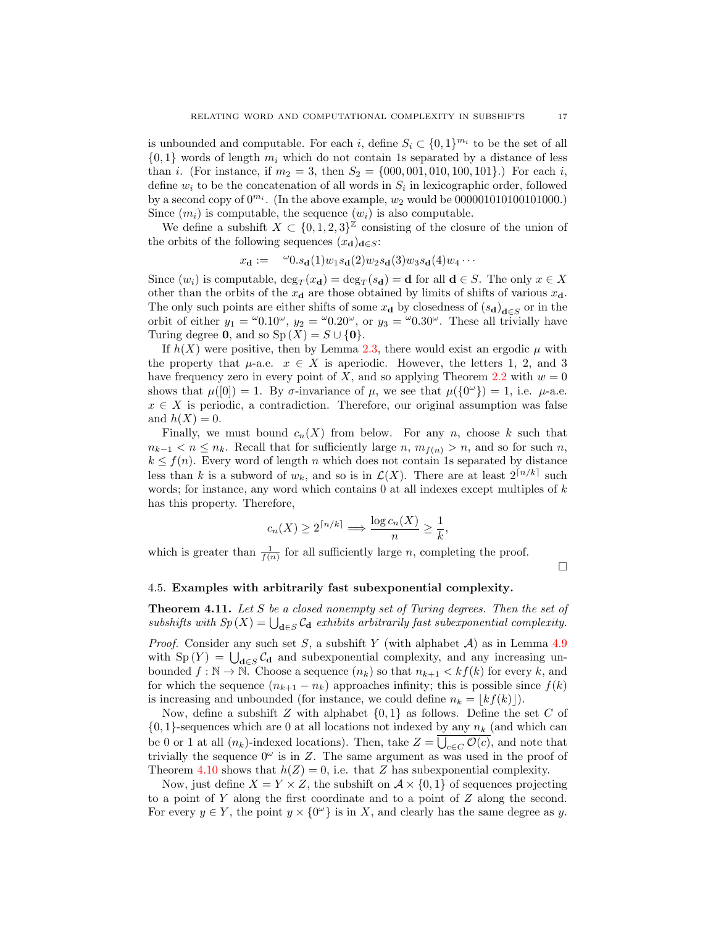is unbounded and computable. For each i, define  $S_i \subset \{0,1\}^{m_i}$  to be the set of all  $\{0,1\}$  words of length  $m_i$  which do not contain 1s separated by a distance of less than *i*. (For instance, if  $m_2 = 3$ , then  $S_2 = \{000, 001, 010, 100, 101\}$ .) For each *i*, define  $w_i$  to be the concatenation of all words in  $S_i$  in lexicographic order, followed by a second copy of  $0^{m_i}$ . (In the above example,  $w_2$  would be 00000101010101000.) Since  $(m_i)$  is computable, the sequence  $(w_i)$  is also computable.

We define a subshift  $X \subset \{0, 1, 2, 3\}^{\mathbb{Z}}$  consisting of the closure of the union of the orbits of the following sequences  $(x_d)_{d\in S}$ :

$$
x_{\mathbf{d}} := \omega_{0.s_{\mathbf{d}}(1)w_1s_{\mathbf{d}}(2)w_2s_{\mathbf{d}}(3)w_3s_{\mathbf{d}}(4)w_4\cdots
$$

Since  $(w_i)$  is computable,  $\deg_T(x_d) = \deg_T(s_d) = d$  for all  $d \in S$ . The only  $x \in X$ other than the orbits of the  $x_d$  are those obtained by limits of shifts of various  $x_d$ . The only such points are either shifts of some  $x_d$  by closedness of  $(s_d)_{d \in S}$  or in the orbit of either  $y_1 = \omega 0.10^{\omega}$ ,  $y_2 = \omega 0.20^{\omega}$ , or  $y_3 = \omega 0.30^{\omega}$ . These all trivially have Turing degree 0, and so  $Sp(X) = S \cup \{0\}.$ 

If  $h(X)$  were positive, then by Lemma [2.3,](#page-4-1) there would exist an ergodic  $\mu$  with the property that  $\mu$ -a.e.  $x \in X$  is aperiodic. However, the letters 1, 2, and 3 have frequency zero in every point of X, and so applying Theorem [2.2](#page-4-2) with  $w = 0$ shows that  $\mu([0]) = 1$ . By  $\sigma$ -invariance of  $\mu$ , we see that  $\mu({0 \nu}) = 1$ , i.e.  $\mu$ -a.e.  $x \in X$  is periodic, a contradiction. Therefore, our original assumption was false and  $h(X) = 0$ .

Finally, we must bound  $c_n(X)$  from below. For any n, choose k such that  $n_{k-1} < n \leq n_k$ . Recall that for sufficiently large n,  $m_{f(n)} > n$ , and so for such n,  $k \leq f(n)$ . Every word of length n which does not contain 1s separated by distance less than k is a subword of  $w_k$ , and so is in  $\mathcal{L}(X)$ . There are at least  $2^{\lceil n/k \rceil}$  such words; for instance, any word which contains  $0$  at all indexes except multiples of  $k$ has this property. Therefore,

$$
c_n(X) \ge 2^{\lceil n/k \rceil} \Longrightarrow \frac{\log c_n(X)}{n} \ge \frac{1}{k},
$$

which is greater than  $\frac{1}{f(n)}$  for all sufficiently large *n*, completing the proof.

 $\Box$ 

#### 4.5. Examples with arbitrarily fast subexponential complexity.

Theorem 4.11. Let S be a closed nonempty set of Turing degrees. Then the set of subshifts with  $Sp(X) = \bigcup_{\mathbf{d}\in S} C_{\mathbf{d}}$  exhibits arbitrarily fast subexponential complexity.

*Proof.* Consider any such set S, a subshift Y (with alphabet  $A$ ) as in Lemma [4.9](#page-14-0) with  $Sp(Y) = \bigcup_{d \in S} C_d$  and subexponential complexity, and any increasing unbounded  $f : \mathbb{N} \to \mathbb{N}$ . Choose a sequence  $(n_k)$  so that  $n_{k+1} < kf(k)$  for every k, and for which the sequence  $(n_{k+1} - n_k)$  approaches infinity; this is possible since  $f(k)$ is increasing and unbounded (for instance, we could define  $n_k = |kf(k)|$ ).

Now, define a subshift Z with alphabet  $\{0,1\}$  as follows. Define the set C of  $\{0,1\}$ -sequences which are 0 at all locations not indexed by any  $n_k$  (and which can be 0 or 1 at all  $(n_k)$ -indexed locations). Then, take  $Z = \bigcup_{c \in C} \mathcal{O}(c)$ , and note that trivially the sequence  $0^{\omega}$  is in Z. The same argument as was used in the proof of Theorem [4.10](#page-15-0) shows that  $h(Z) = 0$ , i.e. that Z has subexponential complexity.

Now, just define  $X = Y \times Z$ , the subshift on  $A \times \{0, 1\}$  of sequences projecting to a point of Y along the first coordinate and to a point of Z along the second. For every  $y \in Y$ , the point  $y \times \{0^{\omega}\}\$ is in X, and clearly has the same degree as y.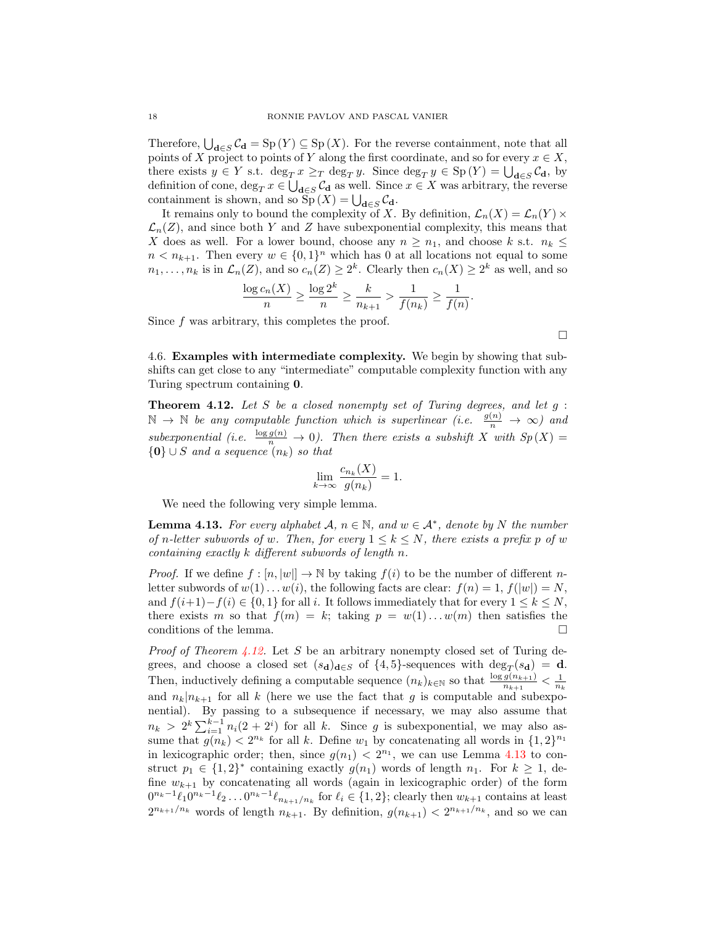Therefore,  $\bigcup_{\mathbf{d}\in S} C_{\mathbf{d}} = \mathrm{Sp}(Y) \subseteq \mathrm{Sp}(X)$ . For the reverse containment, note that all points of X project to points of Y along the first coordinate, and so for every  $x \in X$ , there exists  $y \in Y$  s.t.  $\deg_T x \geq_T \deg_T y$ . Since  $\deg_T y \in \mathrm{Sp}(Y) = \bigcup_{\mathbf{d} \in S} \mathcal{C}_{\mathbf{d}}$ , by definition of cone,  $\deg_T x \in \bigcup_{\mathbf{d}\in S} C_{\mathbf{d}}$  as well. Since  $x \in X$  was arbitrary, the reverse containment is shown, and so  $Sp(X) = \bigcup_{\mathbf{d} \in S} C_{\mathbf{d}}$ .

It remains only to bound the complexity of X. By definition,  $\mathcal{L}_n(X) = \mathcal{L}_n(Y) \times$  $\mathcal{L}_n(Z)$ , and since both Y and Z have subexponential complexity, this means that X does as well. For a lower bound, choose any  $n \geq n_1$ , and choose k s.t.  $n_k \leq$  $n < n_{k+1}$ . Then every  $w \in \{0,1\}^n$  which has 0 at all locations not equal to some  $n_1, \ldots, n_k$  is in  $\mathcal{L}_n(Z)$ , and so  $c_n(Z) \geq 2^k$ . Clearly then  $c_n(X) \geq 2^k$  as well, and so

$$
\frac{\log c_n(X)}{n} \ge \frac{\log 2^k}{n} \ge \frac{k}{n_{k+1}} > \frac{1}{f(n_k)} \ge \frac{1}{f(n)}.
$$

Since  $f$  was arbitrary, this completes the proof.

4.6. Examples with intermediate complexity. We begin by showing that subshifts can get close to any "intermediate" computable complexity function with any Turing spectrum containing 0.

<span id="page-17-0"></span>**Theorem 4.12.** Let  $S$  be a closed nonempty set of Turing degrees, and let  $g$ :  $\mathbb{N} \to \mathbb{N}$  be any computable function which is superlinear (i.e.  $\frac{g(n)}{n} \to \infty$ ) and subexponential (i.e.  $\frac{\log g(n)}{n} \to 0$ ). Then there exists a subshift X with  $Sp(X) =$  ${0\} \cup S$  and a sequence  $(n_k)$  so that

$$
\lim_{k \to \infty} \frac{c_{n_k}(X)}{g(n_k)} = 1.
$$

We need the following very simple lemma.

<span id="page-17-1"></span>**Lemma 4.13.** For every alphabet  $\mathcal{A}, n \in \mathbb{N}$ , and  $w \in \mathcal{A}^*$ , denote by N the number of n-letter subwords of w. Then, for every  $1 \leq k \leq N$ , there exists a prefix p of w containing exactly k different subwords of length n.

*Proof.* If we define  $f : [n, |w|] \to \mathbb{N}$  by taking  $f(i)$  to be the number of different nletter subwords of  $w(1) \dots w(i)$ , the following facts are clear:  $f(n) = 1, f(|w|) = N$ , and  $f(i+1)-f(i) \in \{0,1\}$  for all i. It follows immediately that for every  $1 \leq k \leq N$ , there exists m so that  $f(m) = k$ ; taking  $p = w(1) \dots w(m)$  then satisfies the conditions of the lemma.  $\Box$ 

*Proof of Theorem [4.12.](#page-17-0)* Let S be an arbitrary nonempty closed set of Turing degrees, and choose a closed set  $(s_{\mathbf{d}})_{\mathbf{d}\in S}$  of  $\{4,5\}$ -sequences with  $\deg_T(s_{\mathbf{d}}) = \mathbf{d}$ . Then, inductively defining a computable sequence  $(n_k)_{k \in \mathbb{N}}$  so that  $\frac{\log g(n_{k+1})}{n_{k+1}} < \frac{1}{n_k}$ and  $n_k|n_{k+1}$  for all k (here we use the fact that g is computable and subexponential). By passing to a subsequence if necessary, we may also assume that  $n_k > 2^k \sum_{i=1}^{k-1} n_i(2+2^i)$  for all k. Since g is subexponential, we may also assume that  $g(n_k) < 2^{n_k}$  for all k. Define  $w_1$  by concatenating all words in  $\{1,2\}^{n_1}$ in lexicographic order; then, since  $g(n_1) < 2^{n_1}$ , we can use Lemma [4.13](#page-17-1) to construct  $p_1 \in \{1,2\}^*$  containing exactly  $g(n_1)$  words of length  $n_1$ . For  $k \geq 1$ , define  $w_{k+1}$  by concatenating all words (again in lexicographic order) of the form  $0^{n_k-1}\ell_1 0^{n_k-1}\ell_2 \ldots 0^{n_k-1}\ell_{n_{k+1}/n_k}$  for  $\ell_i \in \{1,2\}$ ; clearly then  $w_{k+1}$  contains at least  $2^{n_{k+1}/n_k}$  words of length  $n_{k+1}$ . By definition,  $g(n_{k+1}) < 2^{n_{k+1}/n_k}$ , and so we can

$$
\qquad \qquad \Box
$$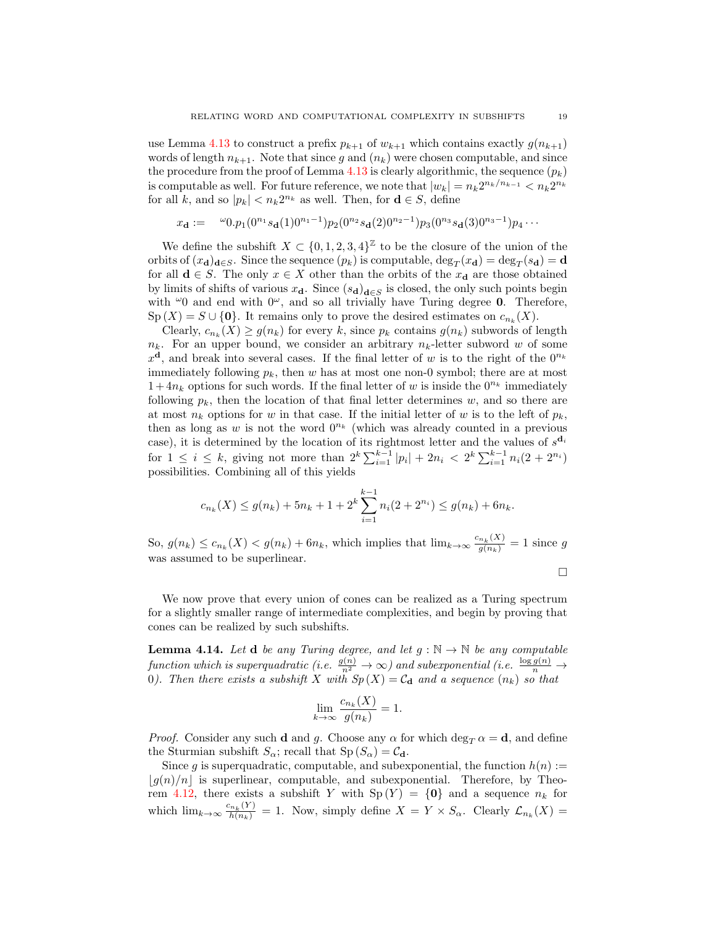use Lemma [4.13](#page-17-1) to construct a prefix  $p_{k+1}$  of  $w_{k+1}$  which contains exactly  $g(n_{k+1})$ words of length  $n_{k+1}$ . Note that since g and  $(n_k)$  were chosen computable, and since the procedure from the proof of Lemma [4.13](#page-17-1) is clearly algorithmic, the sequence  $(p_k)$ is computable as well. For future reference, we note that  $|w_k| = n_k 2^{n_k/n_{k-1}} < n_k 2^{n_k}$ for all k, and so  $|p_k| < n_k 2^{n_k}$  as well. Then, for  $\mathbf{d} \in S$ , define

$$
x_{\mathbf{d}} := \omega_{0,p_1}(0^{n_1} s_{\mathbf{d}}(1) 0^{n_1-1}) p_2(0^{n_2} s_{\mathbf{d}}(2) 0^{n_2-1}) p_3(0^{n_3} s_{\mathbf{d}}(3) 0^{n_3-1}) p_4 \cdots
$$

We define the subshift  $X \subset \{0, 1, 2, 3, 4\}^{\mathbb{Z}}$  to be the closure of the union of the orbits of  $(x_d)_{d\in S}$ . Since the sequence  $(p_k)$  is computable,  $\deg_T(x_d) = \deg_T(s_d) = d$ for all  $\mathbf{d} \in S$ . The only  $x \in X$  other than the orbits of the  $x_{\mathbf{d}}$  are those obtained by limits of shifts of various  $x_d$ . Since  $(s_d)_{d \in S}$  is closed, the only such points begin with  $\omega_0$  and end with  $0^\omega$ , and so all trivially have Turing degree 0. Therefore,  $\text{Sp}(X) = S \cup \{0\}.$  It remains only to prove the desired estimates on  $c_{n_k}(X)$ .

Clearly,  $c_{n_k}(X) \ge g(n_k)$  for every k, since  $p_k$  contains  $g(n_k)$  subwords of length  $n_k$ . For an upper bound, we consider an arbitrary  $n_k$ -letter subword w of some  $x^{\mathbf{d}}$ , and break into several cases. If the final letter of w is to the right of the  $0^{n_k}$ immediately following  $p_k$ , then w has at most one non-0 symbol; there are at most  $1+4n_k$  options for such words. If the final letter of w is inside the  $0^{n_k}$  immediately following  $p_k$ , then the location of that final letter determines w, and so there are at most  $n_k$  options for w in that case. If the initial letter of w is to the left of  $p_k$ , then as long as w is not the word  $0^{n_k}$  (which was already counted in a previous case), it is determined by the location of its rightmost letter and the values of  $s^{\mathbf{d}_i}$ for  $1 \leq i \leq k$ , giving not more than  $2^k \sum_{i=1}^{k-1} |p_i| + 2n_i < 2^k \sum_{i=1}^{k-1} n_i (2 + 2^{n_i})$ possibilities. Combining all of this yields

$$
c_{n_k}(X) \le g(n_k) + 5n_k + 1 + 2^k \sum_{i=1}^{k-1} n_i (2 + 2^{n_i}) \le g(n_k) + 6n_k.
$$

So,  $g(n_k) \leq c_{n_k}(X) < g(n_k) + 6n_k$ , which implies that  $\lim_{k \to \infty} \frac{c_{n_k}(X)}{g(n_k)} = 1$  since g was assumed to be superlinear.

$$
\Box
$$

We now prove that every union of cones can be realized as a Turing spectrum for a slightly smaller range of intermediate complexities, and begin by proving that cones can be realized by such subshifts.

<span id="page-18-0"></span>**Lemma 4.14.** Let **d** be any Turing degree, and let  $g : \mathbb{N} \to \mathbb{N}$  be any computable function which is superquadratic (i.e.  $\frac{g(n)}{n^2} \to \infty$ ) and subexponential (i.e.  $\frac{\log g(n)}{n} \to$ 0). Then there exists a subshift X with  $Sp(X) = C_d$  and a sequence  $(n_k)$  so that

$$
\lim_{k \to \infty} \frac{c_{n_k}(X)}{g(n_k)} = 1.
$$

*Proof.* Consider any such **d** and g. Choose any  $\alpha$  for which deg<sub>T</sub>  $\alpha = \mathbf{d}$ , and define the Sturmian subshift  $S_{\alpha}$ ; recall that  $Sp(S_{\alpha}) = C_{\bf d}$ .

Since g is superquadratic, computable, and subexponential, the function  $h(n) :=$  $|g(n)/n|$  is superlinear, computable, and subexponential. Therefore, by Theo-rem [4.12,](#page-17-0) there exists a subshift Y with  $Sp(Y) = \{0\}$  and a sequence  $n_k$  for which  $\lim_{k\to\infty} \frac{c_{n_k}(Y)}{h(n_k)} = 1$ . Now, simply define  $X = Y \times S_\alpha$ . Clearly  $\mathcal{L}_{n_k}(X) =$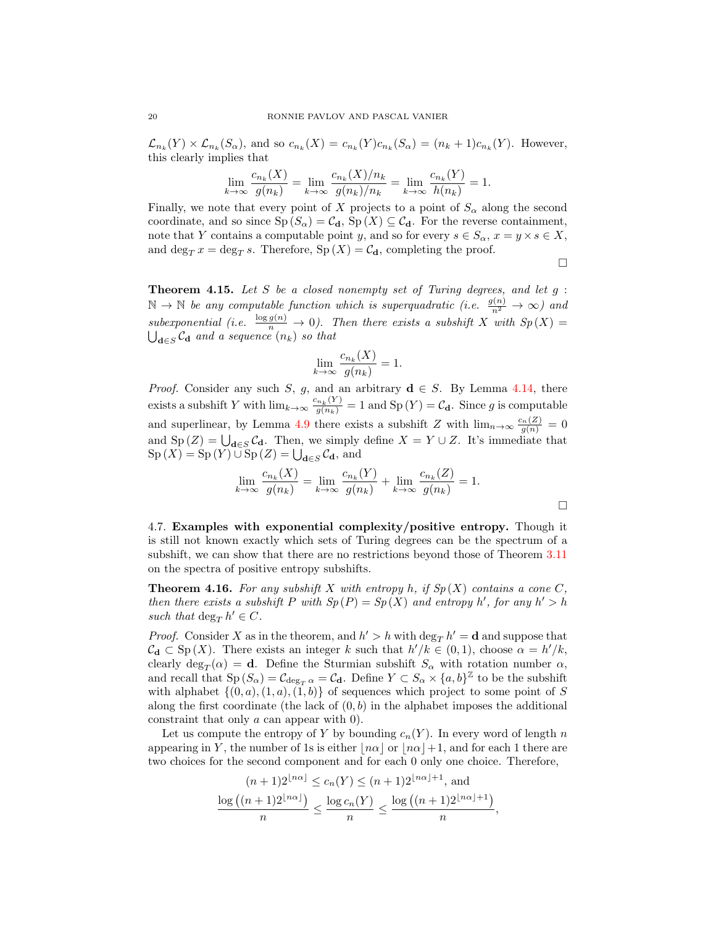$\mathcal{L}_{n_k}(Y) \times \mathcal{L}_{n_k}(S_\alpha)$ , and so  $c_{n_k}(X) = c_{n_k}(Y)c_{n_k}(S_\alpha) = (n_k + 1)c_{n_k}(Y)$ . However, this clearly implies that

$$
\lim_{k \to \infty} \frac{c_{n_k}(X)}{g(n_k)} = \lim_{k \to \infty} \frac{c_{n_k}(X)/n_k}{g(n_k)/n_k} = \lim_{k \to \infty} \frac{c_{n_k}(Y)}{h(n_k)} = 1.
$$

Finally, we note that every point of X projects to a point of  $S_{\alpha}$  along the second coordinate, and so since  $Sp(S_\alpha) = C_\mathbf{d}$ ,  $Sp(X) \subseteq C_\mathbf{d}$ . For the reverse containment, note that Y contains a computable point y, and so for every  $s \in S_\alpha$ ,  $x = y \times s \in X$ , and  $\deg_T x = \deg_T s$ . Therefore,  $\text{Sp}(X) = \mathcal{C}_{\mathbf{d}}$ , completing the proof.

 $\Box$ 

**Theorem 4.15.** Let  $S$  be a closed nonempty set of Turing degrees, and let  $g$ :  $\mathbb{N} \to \mathbb{N}$  be any computable function which is superquadratic (i.e.  $\frac{g(n)}{n^2} \to \infty$ ) and subexponential (i.e.  $\frac{\log g(n)}{n} \to 0$ ). Then there exists a subshift X with  $Sp(X) =$  $\bigcup_{\mathbf{d}\in S}\mathcal{C}_{\mathbf{d}}$  and a sequence  $(n_k)$  so that

$$
\lim_{k \to \infty} \frac{c_{n_k}(X)}{g(n_k)} = 1.
$$

*Proof.* Consider any such S, g, and an arbitrary  $d \in S$ . By Lemma [4.14,](#page-18-0) there exists a subshift Y with  $\lim_{k\to\infty} \frac{c_{n_k}(Y)}{g(n_k)} = 1$  and  $\text{Sp}(Y) = \mathcal{C}_{\mathbf{d}}$ . Since g is computable and superlinear, by Lemma [4.9](#page-14-0) there exists a subshift Z with  $\lim_{n\to\infty} \frac{c_n(Z)}{g(n)} = 0$ and Sp  $(Z) = \bigcup_{\mathbf{d}\in S} C_{\mathbf{d}}$ . Then, we simply define  $X = Y \cup Z$ . It's immediate that  $\mathrm{Sp}(X) = \mathrm{Sp}(Y) \cup \mathrm{Sp}(Z) = \bigcup_{\mathbf{d} \in S} \mathcal{C}_{\mathbf{d}}, \text{ and}$ 

$$
\lim_{k \to \infty} \frac{c_{n_k}(X)}{g(n_k)} = \lim_{k \to \infty} \frac{c_{n_k}(Y)}{g(n_k)} + \lim_{k \to \infty} \frac{c_{n_k}(Z)}{g(n_k)} = 1.
$$

4.7. Examples with exponential complexity/positive entropy. Though it is still not known exactly which sets of Turing degrees can be the spectrum of a subshift, we can show that there are no restrictions beyond those of Theorem [3.11](#page-11-3) on the spectra of positive entropy subshifts.

**Theorem 4.16.** For any subshift X with entropy h, if  $Sp(X)$  contains a cone C, then there exists a subshift P with  $Sp(P) = Sp(X)$  and entropy h', for any  $h' > h$ such that  $\deg_T h' \in C$ .

*Proof.* Consider X as in the theorem, and  $h' > h$  with  $\deg_T h' = \mathbf{d}$  and suppose that  $\mathcal{C}_{\mathbf{d}} \subset \mathrm{Sp}(X)$ . There exists an integer k such that  $h'/k \in (0,1)$ , choose  $\alpha = h'/k$ , clearly  $\deg_T(\alpha) = \mathbf{d}$ . Define the Sturmian subshift  $S_\alpha$  with rotation number  $\alpha$ , and recall that  $\text{Sp}(S_\alpha) = \mathcal{C}_{\deg_T \alpha} = \mathcal{C}_{\mathbf{d}}$ . Define  $Y \subset S_\alpha \times \{a, b\}^\mathbb{Z}$  to be the subshift with alphabet  $\{(0, a), (1, a), (1, b)\}$  of sequences which project to some point of S along the first coordinate (the lack of  $(0, b)$ ) in the alphabet imposes the additional constraint that only a can appear with 0).

Let us compute the entropy of Y by bounding  $c_n(Y)$ . In every word of length n appearing in Y, the number of 1s is either  $|n\alpha|$  or  $|n\alpha|+1$ , and for each 1 there are two choices for the second component and for each 0 only one choice. Therefore,

$$
(n+1)2^{\lfloor n\alpha \rfloor} \le c_n(Y) \le (n+1)2^{\lfloor n\alpha \rfloor + 1},
$$
 and  

$$
\frac{\log ((n+1)2^{\lfloor n\alpha \rfloor})}{n} \le \frac{\log c_n(Y)}{n} \le \frac{\log ((n+1)2^{\lfloor n\alpha \rfloor + 1})}{n},
$$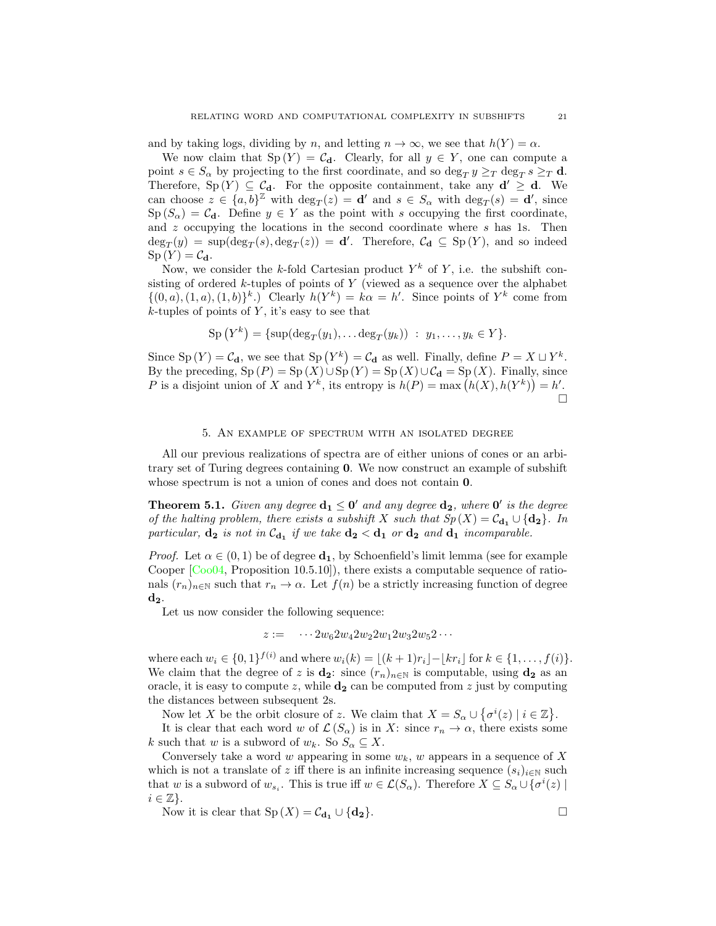and by taking logs, dividing by n, and letting  $n \to \infty$ , we see that  $h(Y) = \alpha$ .

We now claim that  $Sp(Y) = C_d$ . Clearly, for all  $y \in Y$ , one can compute a point  $s \in S_\alpha$  by projecting to the first coordinate, and so  $\deg_T y \geq_T \deg_T s \geq_T \mathbf{d}$ . Therefore,  $Sp(Y) \subseteq C_d$ . For the opposite containment, take any  $d' \geq d$ . We can choose  $z \in \{a, b\}^{\mathbb{Z}}$  with  $\deg_T(z) = d'$  and  $s \in S_\alpha$  with  $\deg_T(s) = d'$ , since  $\text{Sp}(S_\alpha) = \mathcal{C}_d$ . Define  $y \in Y$  as the point with s occupying the first coordinate, and  $z$  occupying the locations in the second coordinate where  $s$  has 1s. Then  $deg_T(y) = sup(deg_T(s), deg_T(z)) = d'.$  Therefore,  $C_d \subseteq Sp(Y)$ , and so indeed  $\mathrm{Sp}\,(Y)=\mathcal{C}_{\mathbf{d}}.$ 

Now, we consider the k-fold Cartesian product  $Y^k$  of Y, i.e. the subshift consisting of ordered  $k$ -tuples of points of Y (viewed as a sequence over the alphabet  $\{(0, a), (1, a), (1, b)\}^k$ .) Clearly  $h(Y^k) = k\alpha = h'$ . Since points of  $Y^k$  come from  $k$ -tuples of points of Y, it's easy to see that

$$
Sp(Y^k) = \{ sup(deg_T(y_1), ... deg_T(y_k)) : y_1, ..., y_k \in Y \}.
$$

Since Sp  $(Y) = C_d$ , we see that Sp  $(Y^k) = C_d$  as well. Finally, define  $P = X \sqcup Y^k$ . By the preceding,  $Sp(P) = Sp(X) \cup Sp(Y) = Sp(X) \cup C_d = Sp(X)$ . Finally, since P is a disjoint union of X and  $Y^k$ , its entropy is  $h(P) = \max(h(X), h(Y^k)) = h'.$  $\Box$ 

#### 5. An example of spectrum with an isolated degree

<span id="page-20-0"></span>All our previous realizations of spectra are of either unions of cones or an arbitrary set of Turing degrees containing 0. We now construct an example of subshift whose spectrum is not a union of cones and does not contain  $0$ .

**Theorem 5.1.** Given any degree  $d_1 \leq 0'$  and any degree  $d_2$ , where  $0'$  is the degree of the halting problem, there exists a subshift X such that  $Sp(X) = C_{d_1} \cup \{d_2\}$ . In particular,  $\mathbf{d_2}$  is not in  $\mathcal{C}_{\mathbf{d_1}}$  if we take  $\mathbf{d_2} < \mathbf{d_1}$  or  $\mathbf{d_2}$  and  $\mathbf{d_1}$  incomparable.

*Proof.* Let  $\alpha \in (0,1)$  be of degree  $\mathbf{d}_1$ , by Schoenfield's limit lemma (see for example Cooper [\[Coo04,](#page-21-10) Proposition 10.5.10]), there exists a computable sequence of rationals  $(r_n)_{n\in\mathbb{N}}$  such that  $r_n \to \alpha$ . Let  $f(n)$  be a strictly increasing function of degree  $\mathbf{d}_2$ .

Let us now consider the following sequence:

$$
z:=-\cdots 2w_62w_42w_22w_12w_32w_52\cdots
$$

where each  $w_i \in \{0, 1\}^{f(i)}$  and where  $w_i(k) = \lfloor (k + 1)r_i \rfloor - \lfloor kr_i \rfloor$  for  $k \in \{1, ..., f(i)\}.$ We claim that the degree of z is  $\mathbf{d}_2$ : since  $(r_n)_{n\in\mathbb{N}}$  is computable, using  $\mathbf{d}_2$  as an oracle, it is easy to compute z, while  $\mathbf{d}_2$  can be computed from z just by computing the distances between subsequent 2s.

Now let X be the orbit closure of z. We claim that  $X = S_\alpha \cup \{\sigma^i(z) \mid i \in \mathbb{Z}\}.$ 

It is clear that each word w of  $\mathcal{L}(S_\alpha)$  is in X: since  $r_n \to \alpha$ , there exists some k such that w is a subword of  $w_k$ . So  $S_\alpha \subseteq X$ .

Conversely take a word w appearing in some  $w_k$ , w appears in a sequence of X which is not a translate of z iff there is an infinite increasing sequence  $(s_i)_{i\in\mathbb{N}}$  such that w is a subword of  $w_{s_i}$ . This is true iff  $w \in \mathcal{L}(S_\alpha)$ . Therefore  $X \subseteq S_\alpha \cup \{ \sigma^i(z) \mid$  $i \in \mathbb{Z}$ .

Now it is clear that  $\text{Sp}(X) = C_{\mathbf{d}_1} \cup \{ \mathbf{d}_2 \}.$